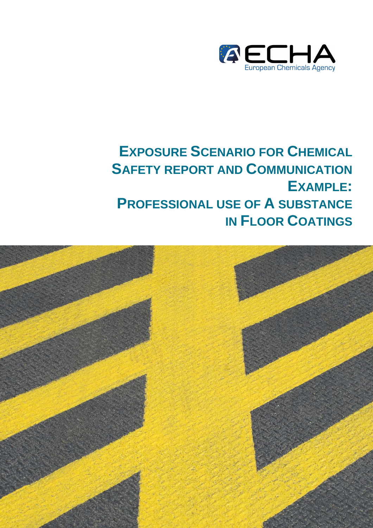

# **EXPOSURE SCENARIO FOR CHEMICAL SAFETY REPORT AND COMMUNICATION EXAMPLE: PROFESSIONAL USE OF A SUBSTANCE IN FLOOR COATINGS**

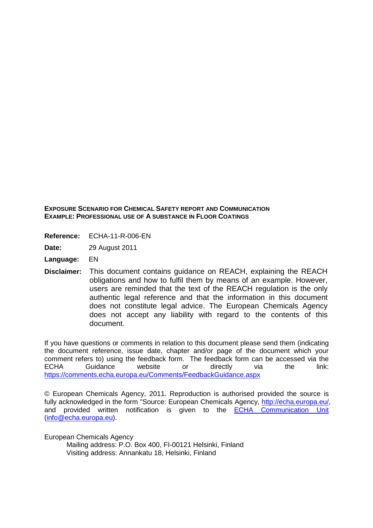**EXPOSURE SCENARIO FOR CHEMICAL SAFETY REPORT AND COMMUNICATION EXAMPLE: PROFESSIONAL USE OF A SUBSTANCE IN FLOOR COATINGS**

- **Reference:** ECHA-11-R-006-EN
- **Date:** 29 August 2011
- **Language:** EN
- **Disclaimer:** This document contains guidance on REACH, explaining the REACH obligations and how to fulfil them by means of an example. However, users are reminded that the text of the REACH regulation is the only authentic legal reference and that the information in this document does not constitute legal advice. The European Chemicals Agency does not accept any liability with regard to the contents of this document.

If you have questions or comments in relation to this document please send them (indicating the document reference, issue date, chapter and/or page of the document which your comment refers to) using the feedback form. The feedback form can be accessed via the ECHA Guidance website or directly via the link: https://comments.echa.europa.eu/Comments/FeedbackGuidance.aspx

© European Chemicals Agency, 2011. Reproduction is authorised provided the source is fully acknowledged in the form "Source: European Chemicals Agency, http://echa.europa.eu/, and provided written notification is given to the ECHA Communication Unit (info@echa.europa.eu).

European Chemicals Agency

 Mailing address: P.O. Box 400, FI-00121 Helsinki, Finland Visiting address: Annankatu 18, Helsinki, Finland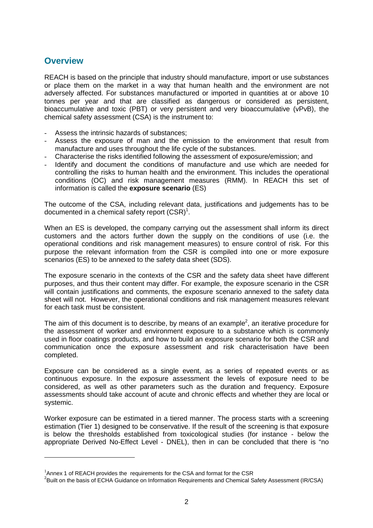## **Overview**

 $\overline{a}$ 

REACH is based on the principle that industry should manufacture, import or use substances or place them on the market in a way that human health and the environment are not adversely affected. For substances manufactured or imported in quantities at or above 10 tonnes per year and that are classified as dangerous or considered as persistent, bioaccumulative and toxic (PBT) or very persistent and very bioaccumulative (vPvB), the chemical safety assessment (CSA) is the instrument to:

- Assess the intrinsic hazards of substances;
- Assess the exposure of man and the emission to the environment that result from manufacture and uses throughout the life cycle of the substances.
- Characterise the risks identified following the assessment of exposure/emission; and
- Identify and document the conditions of manufacture and use which are needed for controlling the risks to human health and the environment. This includes the operational conditions (OC) and risk management measures (RMM). In REACH this set of information is called the **exposure scenario** (ES)

The outcome of the CSA, including relevant data, justifications and judgements has to be documented in a chemical safety report  $(CSR)^1$ .

When an ES is developed, the company carrying out the assessment shall inform its direct customers and the actors further down the supply on the conditions of use (i.e. the operational conditions and risk management measures) to ensure control of risk. For this purpose the relevant information from the CSR is compiled into one or more exposure scenarios (ES) to be annexed to the safety data sheet (SDS).

The exposure scenario in the contexts of the CSR and the safety data sheet have different purposes, and thus their content may differ. For example, the exposure scenario in the CSR will contain justifications and comments, the exposure scenario annexed to the safety data sheet will not. However, the operational conditions and risk management measures relevant for each task must be consistent.

The aim of this document is to describe, by means of an example<sup>2</sup>, an iterative procedure for the assessment of worker and environment exposure to a substance which is commonly used in floor coatings products, and how to build an exposure scenario for both the CSR and communication once the exposure assessment and risk characterisation have been completed.

Exposure can be considered as a single event, as a series of repeated events or as continuous exposure. In the exposure assessment the levels of exposure need to be considered, as well as other parameters such as the duration and frequency. Exposure assessments should take account of acute and chronic effects and whether they are local or systemic.

Worker exposure can be estimated in a tiered manner. The process starts with a screening estimation (Tier 1) designed to be conservative. If the result of the screening is that exposure is below the thresholds established from toxicological studies (for instance - below the appropriate Derived No-Effect Level - DNEL), then in can be concluded that there is "no

 $<sup>1</sup>$ Annex 1 of REACH provides the requirements for the CSA and format for the CSR</sup>

 $^{2}$ Built on the basis of ECHA Guidance on Information Requirements and Chemical Safety Assessment (IR/CSA)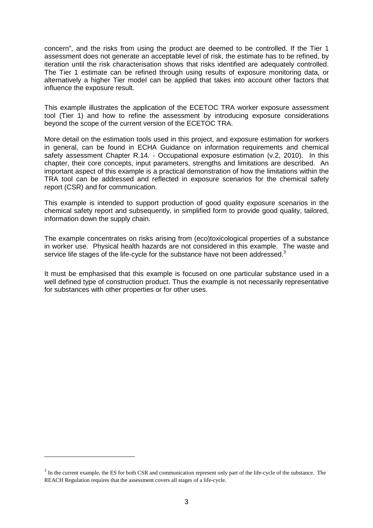concern", and the risks from using the product are deemed to be controlled. If the Tier 1 assessment does not generate an acceptable level of risk, the estimate has to be refined, by iteration until the risk characterisation shows that risks identified are adequately controlled. The Tier 1 estimate can be refined through using results of exposure monitoring data, or alternatively a higher Tier model can be applied that takes into account other factors that influence the exposure result.

This example illustrates the application of the ECETOC TRA worker exposure assessment tool (Tier 1) and how to refine the assessment by introducing exposure considerations beyond the scope of the current version of the ECETOC TRA.

More detail on the estimation tools used in this project, and exposure estimation for workers in general, can be found in ECHA Guidance on information requirements and chemical safety assessment Chapter R.14. - Occupational exposure estimation (v.2, 2010). In this chapter, their core concepts, input parameters, strengths and limitations are described. An important aspect of this example is a practical demonstration of how the limitations within the TRA tool can be addressed and reflected in exposure scenarios for the chemical safety report (CSR) and for communication.

This example is intended to support production of good quality exposure scenarios in the chemical safety report and subsequently, in simplified form to provide good quality, tailored, information down the supply chain.

The example concentrates on risks arising from (eco)toxicological properties of a substance in worker use. Physical health hazards are not considered in this example. The waste and service life stages of the life-cycle for the substance have not been addressed.<sup>3</sup>

It must be emphasised that this example is focused on one particular substance used in a well defined type of construction product. Thus the example is not necessarily representative for substances with other properties or for other uses.

 $\overline{a}$ 

 $3 \text{ In the current example, the ES for both CSR and communication represent only part of the life-cycle of the substance. The$ REACH Regulation requires that the assessment covers all stages of a life-cycle.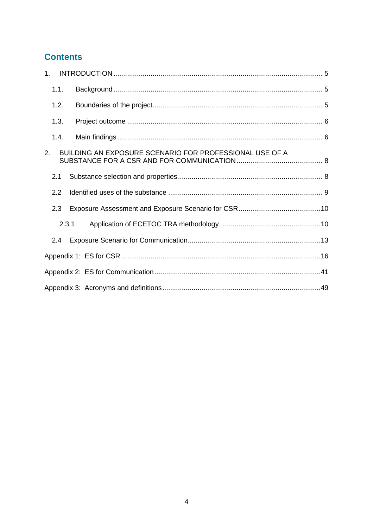# **Contents**

| 1.    |                                                         |  |
|-------|---------------------------------------------------------|--|
| 1.1.  |                                                         |  |
| 1.2.  |                                                         |  |
| 1.3.  |                                                         |  |
| 1.4.  |                                                         |  |
| 2.    | BUILDING AN EXPOSURE SCENARIO FOR PROFESSIONAL USE OF A |  |
| 2.1   |                                                         |  |
| 2.2   |                                                         |  |
| 2.3   |                                                         |  |
| 2.3.1 |                                                         |  |
| 2.4   |                                                         |  |
|       |                                                         |  |
|       |                                                         |  |
|       |                                                         |  |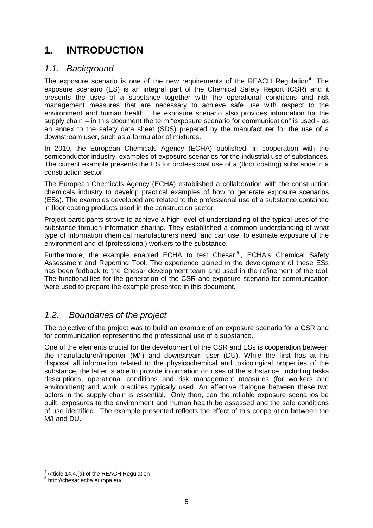# **1. INTRODUCTION**

## 1.1. Background

The exposure scenario is one of the new requirements of the REACH Regulation<sup>4</sup>. The exposure scenario (ES) is an integral part of the Chemical Safety Report (CSR) and it presents the uses of a substance together with the operational conditions and risk management measures that are necessary to achieve safe use with respect to the environment and human health. The exposure scenario also provides information for the supply chain – in this document the term "exposure scenario for communication" is used - as an annex to the safety data sheet (SDS) prepared by the manufacturer for the use of a downstream user, such as a formulator of mixtures.

In 2010, the European Chemicals Agency (ECHA) published, in cooperation with the semiconductor industry, examples of exposure scenarios for the industrial use of substances. The current example presents the ES for professional use of a (floor coating) substance in a construction sector.

The European Chemicals Agency (ECHA) established a collaboration with the construction chemicals industry to develop practical examples of how to generate exposure scenarios (ESs). The examples developed are related to the professional use of a substance contained in floor coating products used in the construction sector.

Project participants strove to achieve a high level of understanding of the typical uses of the substance through information sharing. They established a common understanding of what type of information chemical manufacturers need, and can use, to estimate exposure of the environment and of (professional) workers to the substance.

Furthermore, the example enabled ECHA to test Chesar<sup>5</sup>, ECHA's Chemical Safety Assessment and Reporting Tool. The experience gained in the development of these ESs has been fedback to the Chesar development team and used in the refinement of the tool. The functionalities for the generation of the CSR and exposure scenario for communication were used to prepare the example presented in this document.

## 1.2. Boundaries of the project

The objective of the project was to build an example of an exposure scenario for a CSR and for communication representing the professional use of a substance.

One of the elements crucial for the development of the CSR and ESs is cooperation between the manufacturer/importer (M/I) and downstream user (DU). While the first has at his disposal all information related to the physicochemical and toxicological properties of the substance, the latter is able to provide information on uses of the substance, including tasks descriptions, operational conditions and risk management measures (for workers and environment) and work practices typically used. An effective dialogue between these two actors in the supply chain is essential. Only then, can the reliable exposure scenarios be built, exposures to the environment and human health be assessed and the safe conditions of use identified. The example presented reflects the effect of this cooperation between the M/I and DU.

 $\overline{a}$ 

 $4$  Article 14.4.(a) of the REACH Regulation

<sup>&</sup>lt;sup>5</sup> http://chesar.echa.europa.eu/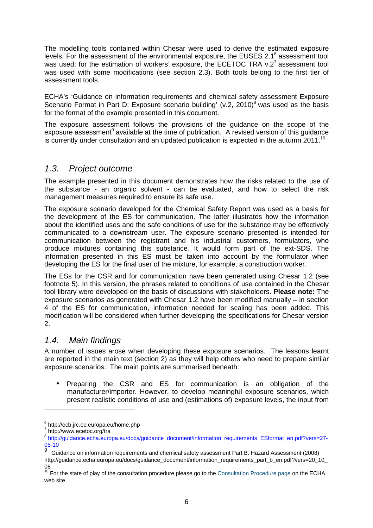The modelling tools contained within Chesar were used to derive the estimated exposure levels. For the assessment of the environmental exposure, the EUSES 2.1<sup>6</sup> assessment tool was used; for the estimation of workers' exposure, the ECETOC TRA  $v.2<sup>7</sup>$  assessment tool was used with some modifications (see section 2.3). Both tools belong to the first tier of assessment tools.

ECHA's 'Guidance on information requirements and chemical safety assessment Exposure Scenario Format in Part D: Exposure scenario building' (v.2, 2010)<sup>8</sup> was used as the basis for the format of the example presented in this document.

The exposure assessment follows the provisions of the guidance on the scope of the exposure assessment<sup>9</sup> available at the time of publication. A revised version of this guidance is currently under consultation and an updated publication is expected in the autumn  $2011.<sup>10</sup>$ 

## 1.3. Project outcome

The example presented in this document demonstrates how the risks related to the use of the substance - an organic solvent - can be evaluated, and how to select the risk management measures required to ensure its safe use.

The exposure scenario developed for the Chemical Safety Report was used as a basis for the development of the ES for communication. The latter illustrates how the information about the identified uses and the safe conditions of use for the substance may be effectively communicated to a downstream user. The exposure scenario presented is intended for communication between the registrant and his industrial customers, formulators, who produce mixtures containing this substance. It would form part of the ext-SDS. The information presented in this ES must be taken into account by the formulator when developing the ES for the final user of the mixture, for example, a construction worker.

The ESs for the CSR and for communication have been generated using Chesar 1.2 (see footnote 5). In this version, the phrases related to conditions of use contained in the Chesar tool library were developed on the basis of discussions with stakeholders. **Please note:** The exposure scenarios as generated with Chesar 1.2 have been modified manually – in section 4 of the ES for communication, information needed for scaling has been added. This modification will be considered when further developing the specifications for Chesar version 2.

## 1.4. Main findings

A number of issues arose when developing these exposure scenarios. The lessons learnt are reported in the main text (section 2) as they will help others who need to prepare similar exposure scenarios. The main points are summarised beneath:

• Preparing the CSR and ES for communication is an obligation of the manufacturer/importer. However, to develop meaningful exposure scenarios, which present realistic conditions of use and (estimations of) exposure levels, the input from

 $\overline{a}$ 

<sup>6</sup> http://ecb.jrc.ec.europa.eu/home.php

<sup>7</sup> http://www.ecetoc.org/tra

<sup>8</sup> http://guidance.echa.europa.eu/docs/guidance\_document/information\_requirements\_ESformat\_en.pdf?vers=27- 05-10

<sup>9</sup> Guidance on information requirements and chemical safety assessment Part B: Hazard Assessment (2008) http://guidance.echa.europa.eu/docs/guidance\_document/information\_requirements\_part\_b\_en.pdf?vers=20\_10\_ 08

 $10$  For the state of play of the consultation procedure please go to the Consultation Procedure page on the ECHA web site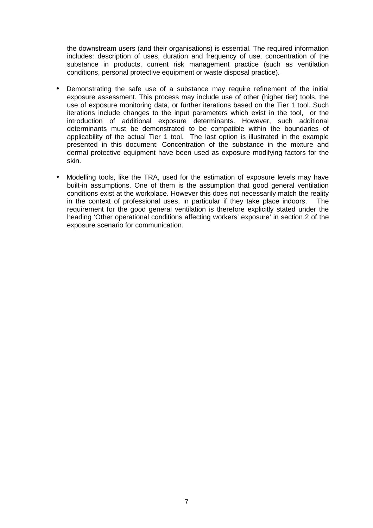the downstream users (and their organisations) is essential. The required information includes: description of uses, duration and frequency of use, concentration of the substance in products, current risk management practice (such as ventilation conditions, personal protective equipment or waste disposal practice).

- Demonstrating the safe use of a substance may require refinement of the initial exposure assessment. This process may include use of other (higher tier) tools, the use of exposure monitoring data, or further iterations based on the Tier 1 tool. Such iterations include changes to the input parameters which exist in the tool, or the introduction of additional exposure determinants. However, such additional determinants must be demonstrated to be compatible within the boundaries of applicability of the actual Tier 1 tool. The last option is illustrated in the example presented in this document: Concentration of the substance in the mixture and dermal protective equipment have been used as exposure modifying factors for the skin.
- Modelling tools, like the TRA, used for the estimation of exposure levels may have built-in assumptions. One of them is the assumption that good general ventilation conditions exist at the workplace. However this does not necessarily match the reality in the context of professional uses, in particular if they take place indoors. The requirement for the good general ventilation is therefore explicitly stated under the heading 'Other operational conditions affecting workers' exposure' in section 2 of the exposure scenario for communication.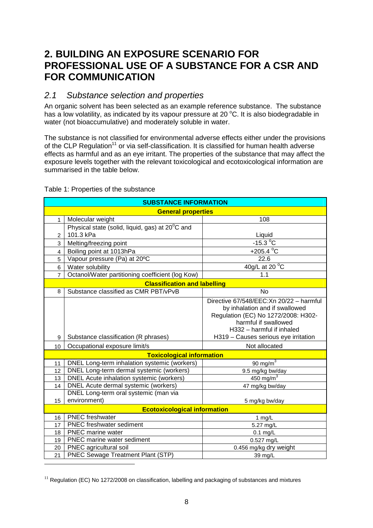# **2. BUILDING AN EXPOSURE SCENARIO FOR PROFESSIONAL USE OF A SUBSTANCE FOR A CSR AND FOR COMMUNICATION**

## 2.1 Substance selection and properties

An organic solvent has been selected as an example reference substance. The substance has a low volatility, as indicated by its vapour pressure at 20  $^{\circ}$ C. It is also biodegradable in water (not bioaccumulative) and moderately soluble in water.

The substance is not classified for environmental adverse effects either under the provisions of the CLP Regulation<sup>11</sup> or via self-classification. It is classified for human health adverse effects as harmful and as an eye irritant. The properties of the substance that may affect the exposure levels together with the relevant toxicological and ecotoxicological information are summarised in the table below.

| <b>SUBSTANCE INFORMATION</b> |                                                  |                                          |  |  |  |
|------------------------------|--------------------------------------------------|------------------------------------------|--|--|--|
|                              | <b>General properties</b>                        |                                          |  |  |  |
| $\mathbf{1}$                 | Molecular weight                                 | 108                                      |  |  |  |
|                              | Physical state (solid, liquid, gas) at 20°C and  |                                          |  |  |  |
| $\overline{2}$               | 101.3 kPa                                        | Liquid                                   |  |  |  |
| 3                            | Melting/freezing point                           | $-15.3 °C$                               |  |  |  |
| $\overline{4}$               | +205.4 $^{\circ}$ C<br>Boiling point at 1013hPa  |                                          |  |  |  |
| 5                            | Vapour pressure (Pa) at 20°C                     | 22.6                                     |  |  |  |
| 6                            | Water solubility                                 | 40g/L at 20 $\mathrm{^{\circ}C}$         |  |  |  |
| $\overline{7}$               | Octanol/Water partitioning coefficient (log Kow) | 1.1                                      |  |  |  |
|                              | <b>Classification and labelling</b>              |                                          |  |  |  |
| 8                            | Substance classified as CMR PBT/vPvB             | <b>No</b>                                |  |  |  |
|                              |                                                  | Directive 67/548/EEC: Xn 20/22 - harmful |  |  |  |
|                              |                                                  | by inhalation and if swallowed           |  |  |  |
|                              |                                                  | Regulation (EC) No 1272/2008: H302-      |  |  |  |
|                              |                                                  | harmful if swallowed                     |  |  |  |
|                              |                                                  | H332 - harmful if inhaled                |  |  |  |
| 9                            | Substance classification (R phrases)             | H319 - Causes serious eye irritation     |  |  |  |
| 10                           | Occupational exposure limit/s                    | Not allocated                            |  |  |  |
|                              | <b>Toxicological information</b>                 |                                          |  |  |  |
| 11                           | DNEL Long-term inhalation systemic (workers)     | $90 \text{ mg/m}^3$                      |  |  |  |
| 12                           | DNEL Long-term dermal systemic (workers)         | 9.5 mg/kg bw/day                         |  |  |  |
| 13                           | DNEL Acute inhalation systemic (workers)         | 450 mg/m $3$                             |  |  |  |
| 14                           | DNEL Acute dermal systemic (workers)             | 47 mg/kg bw/day                          |  |  |  |
|                              | DNEL Long-term oral systemic (man via            |                                          |  |  |  |
| 15                           | environment)                                     | 5 mg/kg bw/day                           |  |  |  |
|                              | <b>Ecotoxicological information</b>              |                                          |  |  |  |
| 16                           | <b>PNEC</b> freshwater                           | 1 $mg/L$                                 |  |  |  |
| 17                           | <b>PNEC</b> freshwater sediment                  | 5.27 mg/L                                |  |  |  |
| 18                           | PNEC marine water                                | $0.1$ mg/L                               |  |  |  |
| 19                           | PNEC marine water sediment                       | 0.527 mg/L                               |  |  |  |
| 20                           | PNEC agricultural soil                           | 0.456 mg/kg dry weight                   |  |  |  |
| 21                           | PNEC Sewage Treatment Plant (STP)                | 39 mg/L                                  |  |  |  |

Table 1: Properties of the substance

 $\overline{a}$ 

 $11$  Regulation (EC) No 1272/2008 on classification, labelling and packaging of substances and mixtures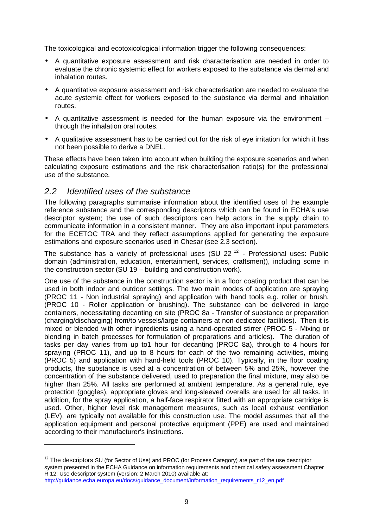The toxicological and ecotoxicological information trigger the following consequences:

- A quantitative exposure assessment and risk characterisation are needed in order to evaluate the chronic systemic effect for workers exposed to the substance via dermal and inhalation routes.
- A quantitative exposure assessment and risk characterisation are needed to evaluate the acute systemic effect for workers exposed to the substance via dermal and inhalation routes.
- A quantitative assessment is needed for the human exposure via the environment through the inhalation oral routes.
- A qualitative assessment has to be carried out for the risk of eye irritation for which it has not been possible to derive a DNEL.

These effects have been taken into account when building the exposure scenarios and when calculating exposure estimations and the risk characterisation ratio(s) for the professional use of the substance.

## 2.2 Identified uses of the substance

 $\overline{a}$ 

The following paragraphs summarise information about the identified uses of the example reference substance and the corresponding descriptors which can be found in ECHA's use descriptor system; the use of such descriptors can help actors in the supply chain to communicate information in a consistent manner. They are also important input parameters for the ECETOC TRA and they reflect assumptions applied for generating the exposure estimations and exposure scenarios used in Chesar (see 2.3 section).

The substance has a variety of professional uses (SU  $22^{12}$  - Professional uses: Public domain (administration, education, entertainment, services, craftsmen)), including some in the construction sector (SU 19 – building and construction work).

One use of the substance in the construction sector is in a floor coating product that can be used in both indoor and outdoor settings. The two main modes of application are spraying (PROC 11 - Non industrial spraying) and application with hand tools e.g. roller or brush. (PROC 10 - Roller application or brushing). The substance can be delivered in large containers, necessitating decanting on site (PROC 8a - Transfer of substance or preparation (charging/discharging) from/to vessels/large containers at non-dedicated facilities). Then it is mixed or blended with other ingredients using a hand-operated stirrer (PROC 5 - Mixing or blending in batch processes for formulation of preparations and articles). The duration of tasks per day varies from up to1 hour for decanting (PROC 8a), through to 4 hours for spraying (PROC 11), and up to 8 hours for each of the two remaining activities, mixing (PROC 5) and application with hand-held tools (PROC 10). Typically, in the floor coating products, the substance is used at a concentration of between 5% and 25%, however the concentration of the substance delivered, used to preparation the final mixture, may also be higher than 25%. All tasks are performed at ambient temperature. As a general rule, eye protection (goggles), appropriate gloves and long-sleeved overalls are used for all tasks. In addition, for the spray application, a half-face respirator fitted with an appropriate cartridge is used. Other, higher level risk management measures, such as local exhaust ventilation (LEV), are typically not available for this construction use. The model assumes that all the application equipment and personal protective equipment (PPE) are used and maintained according to their manufacturer's instructions.

 $12$  The descriptors SU (for Sector of Use) and PROC (for Process Category) are part of the use descriptor system presented in the ECHA Guidance on information requirements and chemical safety assessment Chapter R 12: Use descriptor system (version: 2 March 2010) available at: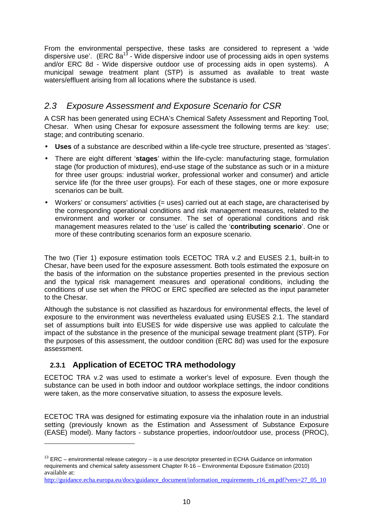From the environmental perspective, these tasks are considered to represent a 'wide dispersive use'. (ERC 8a<sup>13</sup> - Wide dispersive indoor use of processing aids in open systems and/or ERC 8d - Wide dispersive outdoor use of processing aids in open systems). A municipal sewage treatment plant (STP) is assumed as available to treat waste waters/effluent arising from all locations where the substance is used.

## 2.3 Exposure Assessment and Exposure Scenario for CSR

A CSR has been generated using ECHA's Chemical Safety Assessment and Reporting Tool, Chesar. When using Chesar for exposure assessment the following terms are key: use; stage; and contributing scenario.

- **Uses** of a substance are described within a life-cycle tree structure, presented as 'stages'.
- There are eight different '**stages**' within the life-cycle: manufacturing stage, formulation stage (for production of mixtures), end-use stage of the substance as such or in a mixture for three user groups: industrial worker, professional worker and consumer) and article service life (for the three user groups). For each of these stages, one or more exposure scenarios can be built.
- Workers' or consumers' activities (= uses) carried out at each stage**,** are characterised by the corresponding operational conditions and risk management measures, related to the environment and worker or consumer. The set of operational conditions and risk management measures related to the 'use' is called the '**contributing scenario**'. One or more of these contributing scenarios form an exposure scenario.

The two (Tier 1) exposure estimation tools ECETOC TRA v.2 and EUSES 2.1, built-in to Chesar, have been used for the exposure assessment. Both tools estimated the exposure on the basis of the information on the substance properties presented in the previous section and the typical risk management measures and operational conditions, including the conditions of use set when the PROC or ERC specified are selected as the input parameter to the Chesar.

Although the substance is not classified as hazardous for environmental effects, the level of exposure to the environment was nevertheless evaluated using EUSES 2.1. The standard set of assumptions built into EUSES for wide dispersive use was applied to calculate the impact of the substance in the presence of the municipal sewage treatment plant (STP). For the purposes of this assessment, the outdoor condition (ERC 8d) was used for the exposure assessment.

## **2.3.1 Application of ECETOC TRA methodology**

 $\overline{a}$ 

ECETOC TRA v.2 was used to estimate a worker's level of exposure. Even though the substance can be used in both indoor and outdoor workplace settings, the indoor conditions were taken, as the more conservative situation, to assess the exposure levels.

ECETOC TRA was designed for estimating exposure via the inhalation route in an industrial setting (previously known as the Estimation and Assessment of Substance Exposure (EASE) model). Many factors - substance properties, indoor/outdoor use, process (PROC),

 $13$  ERC – environmental release category – is a use descriptor presented in ECHA Guidance on information requirements and chemical safety assessment Chapter R-16 – Environmental Exposure Estimation (2010) available at:

http://guidance.echa.europa.eu/docs/guidance\_document/information\_requirements\_r16\_en.pdf?vers=27\_05\_10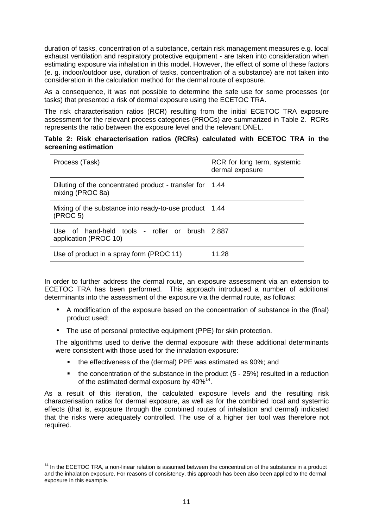duration of tasks, concentration of a substance, certain risk management measures e.g. local exhaust ventilation and respiratory protective equipment - are taken into consideration when estimating exposure via inhalation in this model. However, the effect of some of these factors (e. g. indoor/outdoor use, duration of tasks, concentration of a substance) are not taken into consideration in the calculation method for the dermal route of exposure.

As a consequence, it was not possible to determine the safe use for some processes (or tasks) that presented a risk of dermal exposure using the ECETOC TRA.

The risk characterisation ratios (RCR) resulting from the initial ECETOC TRA exposure assessment for the relevant process categories (PROCs) are summarized in Table 2. RCRs represents the ratio between the exposure level and the relevant DNEL.

#### **Table 2: Risk characterisation ratios (RCRs) calculated with ECETOC TRA in the screening estimation**

| Process (Task)                                                            | RCR for long term, systemic<br>dermal exposure |
|---------------------------------------------------------------------------|------------------------------------------------|
| Diluting of the concentrated product - transfer for<br>mixing (PROC 8a)   | 1.44                                           |
| Mixing of the substance into ready-to-use product<br>(PROC <sub>5</sub> ) | 1.44                                           |
| Use of hand-held tools - roller or brush<br>application (PROC 10)         | 2.887                                          |
| Use of product in a spray form (PROC 11)                                  | 11.28                                          |

In order to further address the dermal route, an exposure assessment via an extension to ECETOC TRA has been performed. This approach introduced a number of additional determinants into the assessment of the exposure via the dermal route, as follows:

- A modification of the exposure based on the concentration of substance in the (final) product used;
- The use of personal protective equipment (PPE) for skin protection.

 $\overline{a}$ 

The algorithms used to derive the dermal exposure with these additional determinants were consistent with those used for the inhalation exposure:

- the effectiveness of the (dermal) PPE was estimated as 90%; and
- the concentration of the substance in the product (5 25%) resulted in a reduction of the estimated dermal exposure by  $40\%^{14}$ .

As a result of this iteration, the calculated exposure levels and the resulting risk characterisation ratios for dermal exposure, as well as for the combined local and systemic effects (that is, exposure through the combined routes of inhalation and dermal) indicated that the risks were adequately controlled. The use of a higher tier tool was therefore not required.

 $14$  In the ECETOC TRA, a non-linear relation is assumed between the concentration of the substance in a product and the inhalation exposure. For reasons of consistency, this approach has been also been applied to the dermal exposure in this example.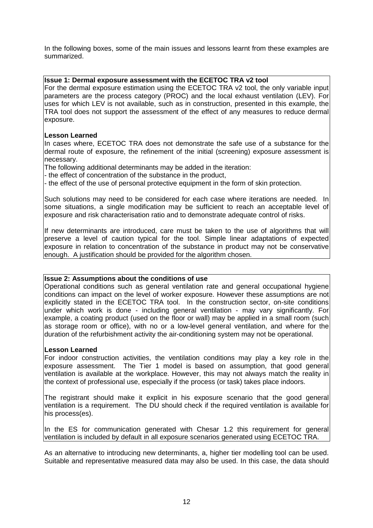In the following boxes, some of the main issues and lessons learnt from these examples are summarized.

#### **Issue 1: Dermal exposure assessment with the ECETOC TRA v2 tool**

For the dermal exposure estimation using the ECETOC TRA v2 tool, the only variable input parameters are the process category (PROC) and the local exhaust ventilation (LEV). For uses for which LEV is not available, such as in construction, presented in this example, the TRA tool does not support the assessment of the effect of any measures to reduce dermal exposure.

#### **Lesson Learned**

In cases where, ECETOC TRA does not demonstrate the safe use of a substance for the dermal route of exposure, the refinement of the initial (screening) exposure assessment is necessary.

The following additional determinants may be added in the iteration:

- the effect of concentration of the substance in the product,

- the effect of the use of personal protective equipment in the form of skin protection.

Such solutions may need to be considered for each case where iterations are needed. In some situations, a single modification may be sufficient to reach an acceptable level of exposure and risk characterisation ratio and to demonstrate adequate control of risks.

If new determinants are introduced, care must be taken to the use of algorithms that will preserve a level of caution typical for the tool. Simple linear adaptations of expected exposure in relation to concentration of the substance in product may not be conservative enough. A justification should be provided for the algorithm chosen.

#### **Issue 2: Assumptions about the conditions of use**

Operational conditions such as general ventilation rate and general occupational hygiene conditions can impact on the level of worker exposure. However these assumptions are not explicitly stated in the ECETOC TRA tool. In the construction sector, on-site conditions under which work is done - including general ventilation - may vary significantly. For example, a coating product (used on the floor or wall) may be applied in a small room (such as storage room or office), with no or a low-level general ventilation, and where for the duration of the refurbishment activity the air-conditioning system may not be operational.

#### **Lesson Learned**

For indoor construction activities, the ventilation conditions may play a key role in the exposure assessment. The Tier 1 model is based on assumption, that good general ventilation is available at the workplace. However, this may not always match the reality in the context of professional use, especially if the process (or task) takes place indoors.

The registrant should make it explicit in his exposure scenario that the good general ventilation is a requirement. The DU should check if the required ventilation is available for his process(es).

In the ES for communication generated with Chesar 1.2 this requirement for general ventilation is included by default in all exposure scenarios generated using ECETOC TRA.

As an alternative to introducing new determinants, a, higher tier modelling tool can be used. Suitable and representative measured data may also be used. In this case, the data should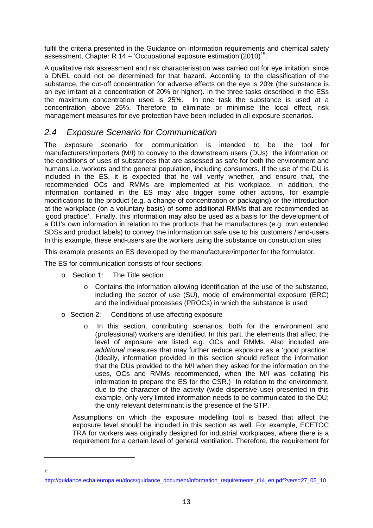fulfil the criteria presented in the Guidance on information requirements and chemical safety assessment, Chapter R 14 – 'Occupational exposure estimation'(2010)<sup>15</sup>.

A qualitative risk assessment and risk characterisation was carried out for eye irritation, since a DNEL could not be determined for that hazard. According to the classification of the substance, the cut-off concentration for adverse effects on the eye is 20% (the substance is an eye irritant at a concentration of 20% or higher). In the three tasks described in the ESs the maximum concentration used is 25%. In one task the substance is used at a concentration above 25%. Therefore to eliminate or minimise the local effect, risk management measures for eye protection have been included in all exposure scenarios.

## 2.4 Exposure Scenario for Communication

The exposure scenario for communication is intended to be the tool for manufacturers/importers (M/I) to convey to the downstream users (DUs) the information on the conditions of uses of substances that are assessed as safe for both the environment and humans i.e. workers and the general population, including consumers. If the use of the DU is included in the ES, it is expected that he will verify whether, and ensure that, the recommended OCs and RMMs are implemented at his workplace. In addition, the information contained in the ES may also trigger some other actions, for example modifications to the product (e.g. a change of concentration or packaging) or the introduction at the workplace (on a voluntary basis) of some additional RMMs that are recommended as 'good practice'. Finally, this information may also be used as a basis for the development of a DU's own information in relation to the products that he manufactures (e.g. own extended SDSs and product labels) to convey the information on safe use to his customers / end-users In this example, these end-users are the workers using the substance on construction sites

This example presents an ES developed by the manufacturer/importer for the formulator.

The ES for communication consists of four sections:

- o Section 1: The Title section
	- $\circ$  Contains the information allowing identification of the use of the substance, including the sector of use (SU), mode of environmental exposure (ERC) and the individual processes (PROCs) in which the substance is used
- o Section 2: Conditions of use affecting exposure
	- o In this section, contributing scenarios, both for the environment and (professional) workers are identified. In this part, the elements that affect the level of exposure are listed e.g. OCs and RMMs. Also included are additional measures that may further reduce exposure as a 'good practice'. (Ideally, information provided in this section should reflect the information that the DUs provided to the M/I when they asked for the information on the uses, OCs and RMMs recommended, when the M/I was collating his information to prepare the ES for the CSR.) In relation to the environment, due to the character of the activity (wide dispersive use) presented in this example, only very limited information needs to be communicated to the DU; the only relevant determinant is the presence of the STP.

Assumptions on which the exposure modelling tool is based that affect the exposure level should be included in this section as well. For example, ECETOC TRA for workers was originally designed for industrial workplaces, where there is a requirement for a certain level of general ventilation. Therefore, the requirement for

15

 $\overline{a}$ 

http://guidance.echa.europa.eu/docs/guidance\_document/information\_requirements\_r14\_en.pdf?vers=27\_05\_10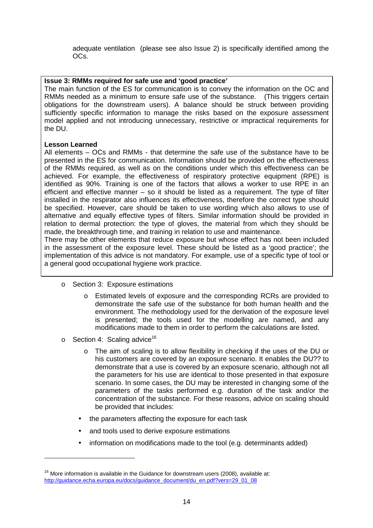adequate ventilation (please see also Issue 2) is specifically identified among the OCs.

#### **Issue 3: RMMs required for safe use and 'good practice'**

The main function of the ES for communication is to convey the information on the OC and RMMs needed as a minimum to ensure safe use of the substance. (This triggers certain obligations for the downstream users). A balance should be struck between providing sufficiently specific information to manage the risks based on the exposure assessment model applied and not introducing unnecessary, restrictive or impractical requirements for the DU.

#### **Lesson Learned**

All elements – OCs and RMMs - that determine the safe use of the substance have to be presented in the ES for communication. Information should be provided on the effectiveness of the RMMs required, as well as on the conditions under which this effectiveness can be achieved. For example, the effectiveness of respiratory protective equipment (RPE) is identified as 90%. Training is one of the factors that allows a worker to use RPE in an efficient and effective manner – so it should be listed as a requirement. The type of filter installed in the respirator also influences its effectiveness, therefore the correct type should be specified. However, care should be taken to use wording which also allows to use of alternative and equally effective types of filters. Similar information should be provided in relation to dermal protection: the type of gloves, the material from which they should be made, the breakthrough time, and training in relation to use and maintenance.

There may be other elements that reduce exposure but whose effect has not been included in the assessment of the exposure level. These should be listed as a 'good practice'; the implementation of this advice is not mandatory. For example, use of a specific type of tool or a general good occupational hygiene work practice.

- o Section 3: Exposure estimations
	- o Estimated levels of exposure and the corresponding RCRs are provided to demonstrate the safe use of the substance for both human health and the environment. The methodology used for the derivation of the exposure level is presented; the tools used for the modelling are named, and any modifications made to them in order to perform the calculations are listed.
- $\circ$  Section 4: Scaling advice<sup>16</sup>

 $\overline{a}$ 

- o The aim of scaling is to allow flexibility in checking if the uses of the DU or his customers are covered by an exposure scenario. It enables the DU?? to demonstrate that a use is covered by an exposure scenario, although not all the parameters for his use are identical to those presented in that exposure scenario. In some cases, the DU may be interested in changing some of the parameters of the tasks performed e.g. duration of the task and/or the concentration of the substance. For these reasons, advice on scaling should be provided that includes:
- the parameters affecting the exposure for each task
- and tools used to derive exposure estimations
- information on modifications made to the tool (e.g. determinants added)

 $16$  More information is available in the Guidance for downstream users (2008), available at: http://guidance.echa.europa.eu/docs/guidance\_document/du\_en.pdf?vers=29\_01\_08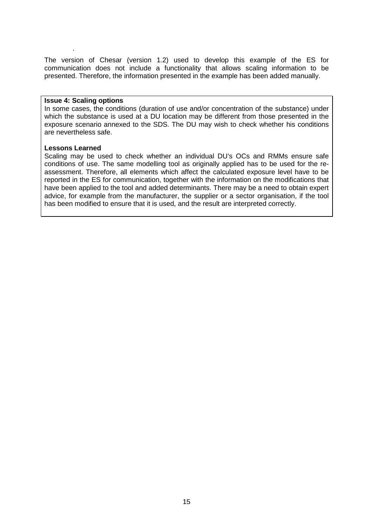The version of Chesar (version 1.2) used to develop this example of the ES for communication does not include a functionality that allows scaling information to be presented. Therefore, the information presented in the example has been added manually.

#### **Issue 4: Scaling options**

.

In some cases, the conditions (duration of use and/or concentration of the substance) under which the substance is used at a DU location may be different from those presented in the exposure scenario annexed to the SDS. The DU may wish to check whether his conditions are nevertheless safe.

#### **Lessons Learned**

Scaling may be used to check whether an individual DU's OCs and RMMs ensure safe conditions of use. The same modelling tool as originally applied has to be used for the reassessment. Therefore, all elements which affect the calculated exposure level have to be reported in the ES for communication, together with the information on the modifications that have been applied to the tool and added determinants. There may be a need to obtain expert advice, for example from the manufacturer, the supplier or a sector organisation, if the tool has been modified to ensure that it is used, and the result are interpreted correctly.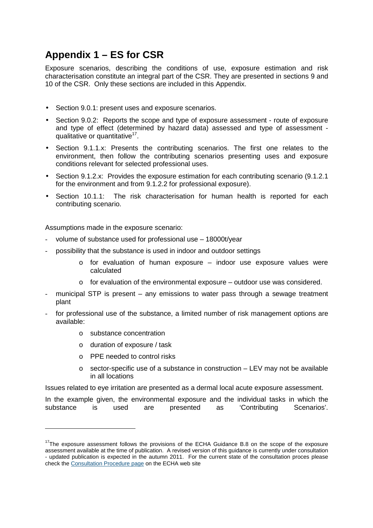# **Appendix 1 – ES for CSR**

Exposure scenarios, describing the conditions of use, exposure estimation and risk characterisation constitute an integral part of the CSR. They are presented in sections 9 and 10 of the CSR. Only these sections are included in this Appendix.

- Section 9.0.1: present uses and exposure scenarios.
- Section 9.0.2: Reports the scope and type of exposure assessment route of exposure and type of effect (determined by hazard data) assessed and type of assessment qualitative or quantitative<sup>17</sup>.
- Section 9.1.1.x: Presents the contributing scenarios. The first one relates to the environment, then follow the contributing scenarios presenting uses and exposure conditions relevant for selected professional uses.
- Section 9.1.2.x: Provides the exposure estimation for each contributing scenario (9.1.2.1) for the environment and from 9.1.2.2 for professional exposure).
- Section 10.1.1: The risk characterisation for human health is reported for each contributing scenario.

Assumptions made in the exposure scenario:

- volume of substance used for professional use 18000t/year
- possibility that the substance is used in indoor and outdoor settings
	- $\circ$  for evaluation of human exposure indoor use exposure values were calculated
	- $\circ$  for evaluation of the environmental exposure outdoor use was considered.
- municipal STP is present  $-$  any emissions to water pass through a sewage treatment plant
- for professional use of the substance, a limited number of risk management options are available:
	- o substance concentration

 $\overline{a}$ 

- o duration of exposure / task
- o PPE needed to control risks
- $\circ$  sector-specific use of a substance in construction LEV may not be available in all locations

Issues related to eye irritation are presented as a dermal local acute exposure assessment.

In the example given, the environmental exposure and the individual tasks in which the substance is used are presented as 'Contributing Scenarios'.

 $17$ The exposure assessment follows the provisions of the ECHA Guidance B.8 on the scope of the exposure assessment available at the time of publication. A revised version of this guidance is currently under consultation - updated publication is expected in the autumn 2011. For the current state of the consultation proces please check the Consultation Procedure page on the ECHA web site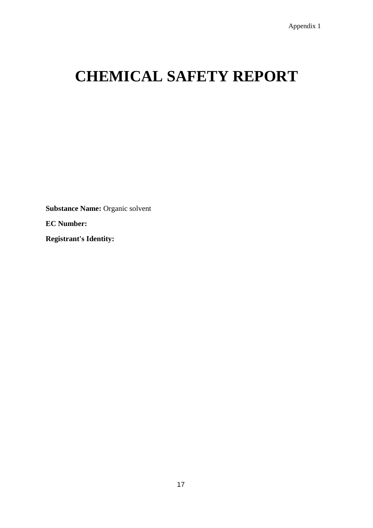# **CHEMICAL SAFETY REPORT**

**Substance Name:** Organic solvent

**EC Number:**

**Registrant's Identity:**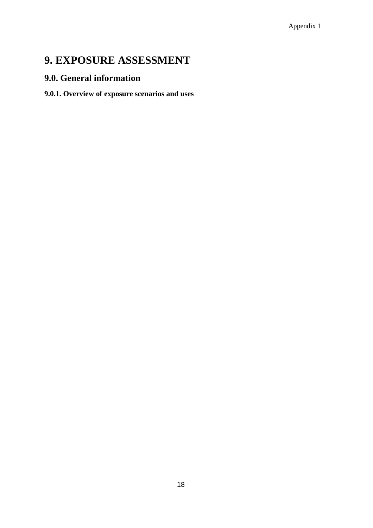# **9. EXPOSURE ASSESSMENT**

## **9.0. General information**

## **9.0.1. Overview of exposure scenarios and uses**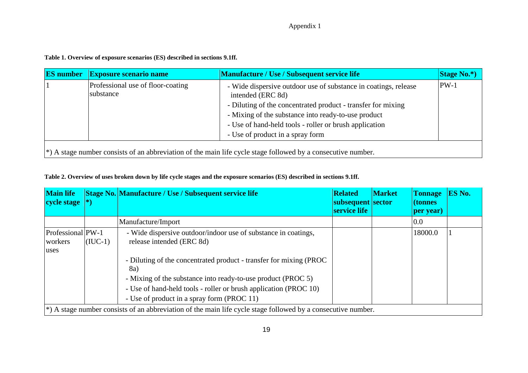#### Appendix 1

**Table 1. Overview of exposure scenarios (ES) described in sections 9.1ff.** 

| <b>ES</b> number                                                                                                  | <b>Exposure scenario name</b>                  | <b>Manufacture / Use / Subsequent service life</b>                                                                                                                                                                                                                                                        | $\left  \text{Stage No.*} \right $ |  |
|-------------------------------------------------------------------------------------------------------------------|------------------------------------------------|-----------------------------------------------------------------------------------------------------------------------------------------------------------------------------------------------------------------------------------------------------------------------------------------------------------|------------------------------------|--|
|                                                                                                                   | Professional use of floor-coating<br>substance | - Wide dispersive outdoor use of substance in coatings, release<br>intended (ERC 8d)<br>- Diluting of the concentrated product - transfer for mixing<br>- Mixing of the substance into ready-to-use product<br>- Use of hand-held tools - roller or brush application<br>- Use of product in a spray form | $PW-1$                             |  |
| $\ket*$ A stage number consists of an abbreviation of the main life cycle stage followed by a consecutive number. |                                                |                                                                                                                                                                                                                                                                                                           |                                    |  |

**Table 2. Overview of uses broken down by life cycle stages and the exposure scenarios (ES) described in sections 9.1ff.** 

| <b>Main life</b><br>cycle stage                                                                                   |           | Stage No. Manufacture / Use / Subsequent service life                                                                                                                                                                                                                                                                                                       | <b>Related</b><br>subsequent sector<br>service life | <b>Market</b> | <b>Tonnage</b><br>(tonnes<br>per year) | <b>ES No.</b> |
|-------------------------------------------------------------------------------------------------------------------|-----------|-------------------------------------------------------------------------------------------------------------------------------------------------------------------------------------------------------------------------------------------------------------------------------------------------------------------------------------------------------------|-----------------------------------------------------|---------------|----------------------------------------|---------------|
|                                                                                                                   |           | Manufacture/Import                                                                                                                                                                                                                                                                                                                                          |                                                     |               | 0.0                                    |               |
| Professional PW-1<br>workers<br>uses                                                                              | $(IUC-1)$ | - Wide dispersive outdoor/indoor use of substance in coatings,<br>release intended (ERC 8d)<br>- Diluting of the concentrated product - transfer for mixing (PROC)<br>8a)<br>- Mixing of the substance into ready-to-use product (PROC 5)<br>- Use of hand-held tools - roller or brush application (PROC 10)<br>- Use of product in a spray form (PROC 11) |                                                     |               | 18000.0                                |               |
| $\ket*$ A stage number consists of an abbreviation of the main life cycle stage followed by a consecutive number. |           |                                                                                                                                                                                                                                                                                                                                                             |                                                     |               |                                        |               |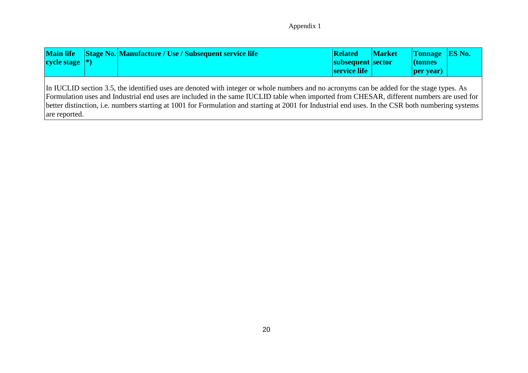#### Appendix 1

| <b>Main life</b><br>cycle stage $ *)$ |                                                                                                                                                                                                                                                                                                                                                                                                                                            | Stage No. Manufacture / Use / Subsequent service life | <b>Related</b><br>subsequent sector<br>service life | <b>Market</b> | <b>Tonnage</b><br>$\vert$ (tonnes)<br><b>per</b> year) | <b>ES No.</b> |
|---------------------------------------|--------------------------------------------------------------------------------------------------------------------------------------------------------------------------------------------------------------------------------------------------------------------------------------------------------------------------------------------------------------------------------------------------------------------------------------------|-------------------------------------------------------|-----------------------------------------------------|---------------|--------------------------------------------------------|---------------|
| are reported.                         | In IUCLID section 3.5, the identified uses are denoted with integer or whole numbers and no acronyms can be added for the stage types. As<br>Formulation uses and Industrial end uses are included in the same IUCLID table when imported from CHESAR, different numbers are used for<br>better distinction, i.e. numbers starting at 1001 for Formulation and starting at 2001 for Industrial end uses. In the CSR both numbering systems |                                                       |                                                     |               |                                                        |               |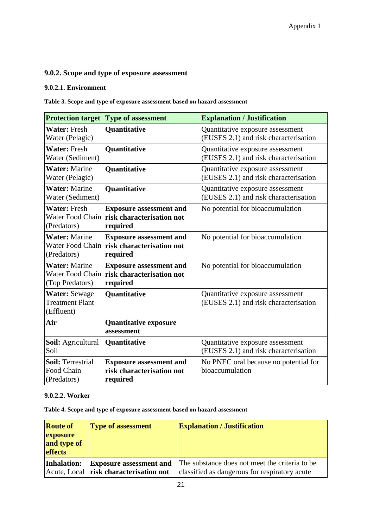## **9.0.2. Scope and type of exposure assessment**

#### **9.0.2.1. Environment**

**Table 3. Scope and type of exposure assessment based on hazard assessment** 

| <b>Protection target</b>                                     | <b>Type of assessment</b>                                                                       | <b>Explanation / Justification</b>                                        |
|--------------------------------------------------------------|-------------------------------------------------------------------------------------------------|---------------------------------------------------------------------------|
| <b>Water: Fresh</b><br>Water (Pelagic)                       | Quantitative                                                                                    | Quantitative exposure assessment<br>(EUSES 2.1) and risk characterisation |
| <b>Water: Fresh</b><br>Water (Sediment)                      | Quantitative                                                                                    | Quantitative exposure assessment<br>(EUSES 2.1) and risk characterisation |
| <b>Water: Marine</b><br>Water (Pelagic)                      | Quantitative                                                                                    | Quantitative exposure assessment<br>(EUSES 2.1) and risk characterisation |
| <b>Water: Marine</b><br>Water (Sediment)                     | Quantitative                                                                                    | Quantitative exposure assessment<br>(EUSES 2.1) and risk characterisation |
| <b>Water: Fresh</b><br>(Predators)                           | <b>Exposure assessment and</b><br>Water Food Chain <b>risk characterisation not</b><br>required | No potential for bioaccumulation                                          |
| <b>Water: Marine</b><br>(Predators)                          | <b>Exposure assessment and</b><br>Water Food Chain <b>risk characterisation not</b><br>required | No potential for bioaccumulation                                          |
| <b>Water: Marine</b><br>Water Food Chain<br>(Top Predators)  | <b>Exposure assessment and</b><br>risk characterisation not<br>required                         | No potential for bioaccumulation                                          |
| <b>Water: Sewage</b><br><b>Treatment Plant</b><br>(Effluent) | Quantitative                                                                                    | Quantitative exposure assessment<br>(EUSES 2.1) and risk characterisation |
| Air                                                          | <b>Quantitative exposure</b><br>assessment                                                      |                                                                           |
| Soil: Agricultural<br>Soil                                   | Quantitative                                                                                    | Quantitative exposure assessment<br>(EUSES 2.1) and risk characterisation |
| <b>Soil: Terrestrial</b><br>Food Chain<br>(Predators)        | <b>Exposure assessment and</b><br>risk characterisation not<br>required                         | No PNEC oral because no potential for<br>bioaccumulation                  |

#### **9.0.2.2. Worker**

**Table 4. Scope and type of exposure assessment based on hazard assessment** 

| <b>Route of</b>                           | <b>Type of assessment</b>                                                | <b>Explanation / Justification</b>                                                              |
|-------------------------------------------|--------------------------------------------------------------------------|-------------------------------------------------------------------------------------------------|
| exposure<br>and type of<br><b>effects</b> |                                                                          |                                                                                                 |
| Inhalation:                               | <b>Exposure assessment and</b><br>Acute, Local risk characterisation not | The substance does not meet the criteria to be<br>classified as dangerous for respiratory acute |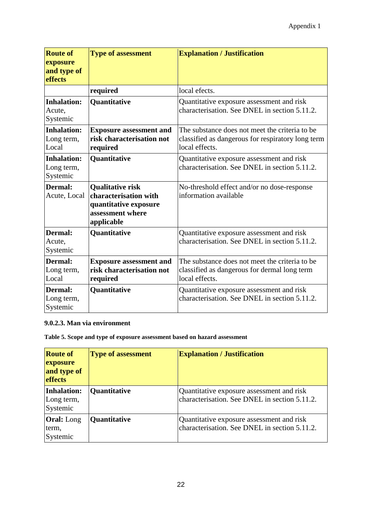| <b>Route of</b><br>exposure                  | <b>Type of assessment</b>                                                                                   | <b>Explanation / Justification</b>                                                                                     |
|----------------------------------------------|-------------------------------------------------------------------------------------------------------------|------------------------------------------------------------------------------------------------------------------------|
| and type of<br>effects                       |                                                                                                             |                                                                                                                        |
|                                              | required                                                                                                    | local efects.                                                                                                          |
| <b>Inhalation:</b><br>Acute,<br>Systemic     | <b>Quantitative</b>                                                                                         | Quantitative exposure assessment and risk<br>characterisation. See DNEL in section 5.11.2.                             |
| <b>Inhalation:</b><br>Long term,<br>Local    | <b>Exposure assessment and</b><br>risk characterisation not<br>required                                     | The substance does not meet the criteria to be.<br>classified as dangerous for respiratory long term<br>local effects. |
| <b>Inhalation:</b><br>Long term,<br>Systemic | Quantitative                                                                                                | Quantitative exposure assessment and risk<br>characterisation. See DNEL in section 5.11.2.                             |
| Dermal:<br>Acute, Local                      | <b>Qualitative risk</b><br>characterisation with<br>quantitative exposure<br>assessment where<br>applicable | No-threshold effect and/or no dose-response<br>information available                                                   |
| <b>Dermal:</b><br>Acute,<br>Systemic         | <b>Quantitative</b>                                                                                         | Quantitative exposure assessment and risk<br>characterisation. See DNEL in section 5.11.2.                             |
| Dermal:<br>Long term,<br>Local               | <b>Exposure assessment and</b><br>risk characterisation not<br>required                                     | The substance does not meet the criteria to be<br>classified as dangerous for dermal long term<br>local effects.       |
| Dermal:<br>Long term,<br>Systemic            | Quantitative                                                                                                | Quantitative exposure assessment and risk<br>characterisation. See DNEL in section 5.11.2.                             |

#### **9.0.2.3. Man via environment**

**Table 5. Scope and type of exposure assessment based on hazard assessment** 

| <b>Route of</b><br>exposure<br>and type of<br><b>effects</b> | <b>Type of assessment</b> | <b>Explanation / Justification</b>                                                         |
|--------------------------------------------------------------|---------------------------|--------------------------------------------------------------------------------------------|
| Inhalation:<br>Long term,<br>Systemic                        | <b>Quantitative</b>       | Quantitative exposure assessment and risk<br>characterisation. See DNEL in section 5.11.2. |
| <b>Oral:</b> Long<br>term,<br>Systemic                       | <b>Quantitative</b>       | Quantitative exposure assessment and risk<br>characterisation. See DNEL in section 5.11.2. |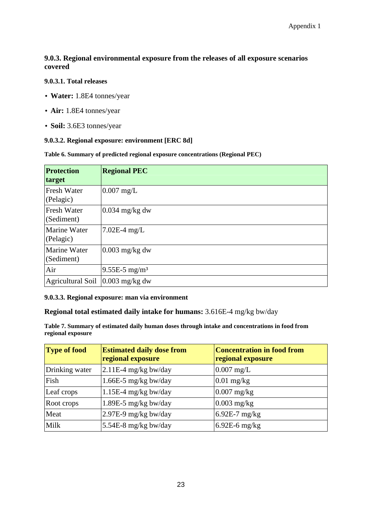#### **9.0.3. Regional environmental exposure from the releases of all exposure scenarios covered**

#### **9.0.3.1. Total releases**

- **Water:** 1.8E4 tonnes/year
- **Air:** 1.8E4 tonnes/year
- **Soil:** 3.6E3 tonnes/year

#### **9.0.3.2. Regional exposure: environment [ERC 8d]**

|  |  |  | Table 6. Summary of predicted regional exposure concentrations (Regional PEC) |
|--|--|--|-------------------------------------------------------------------------------|
|  |  |  |                                                                               |
|  |  |  |                                                                               |

| Protection<br>target              | <b>Regional PEC</b>         |
|-----------------------------------|-----------------------------|
| <b>Fresh Water</b><br>(Pelagic)   | $0.007$ mg/L                |
| <b>Fresh Water</b><br>(Sediment)  | $0.034$ mg/kg dw            |
| <b>Marine Water</b><br>(Pelagic)  | $7.02E-4$ mg/L              |
| <b>Marine Water</b><br>(Sediment) | $0.003$ mg/kg dw            |
| Air                               | $9.55E-5$ mg/m <sup>3</sup> |
| Agricultural Soil                 | $0.003$ mg/kg dw            |

#### **9.0.3.3. Regional exposure: man via environment**

#### **Regional total estimated daily intake for humans:** 3.616E-4 mg/kg bw/day

**Table 7. Summary of estimated daily human doses through intake and concentrations in food from regional exposure** 

| <b>Type of food</b> | <b>Estimated daily dose from</b><br>regional exposure | <b>Concentration in food from</b><br>regional exposure |
|---------------------|-------------------------------------------------------|--------------------------------------------------------|
| Drinking water      | $2.11E-4$ mg/kg bw/day                                | $0.007$ mg/L                                           |
| Fish                | 1.66E-5 mg/kg bw/day                                  | $0.01$ mg/kg                                           |
| Leaf crops          | $1.15E-4$ mg/kg bw/day                                | $0.007$ mg/kg                                          |
| Root crops          | 1.89E-5 mg/kg bw/day                                  | $0.003$ mg/kg                                          |
| Meat                | 2.97E-9 mg/kg bw/day                                  | $6.92E-7$ mg/kg                                        |
| Milk                | 5.54E-8 mg/kg bw/day                                  | $6.92E-6$ mg/kg                                        |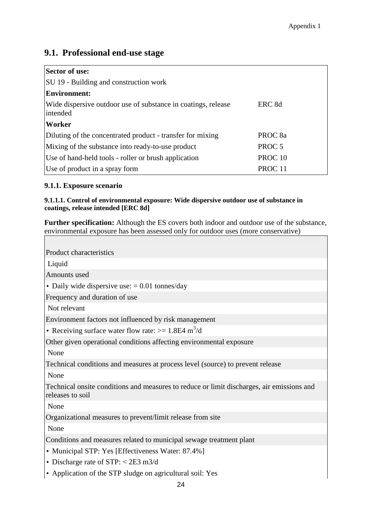## **9.1. Professional end-use stage**

| <b>Sector of use:</b>                                                     |                    |
|---------------------------------------------------------------------------|--------------------|
| SU 19 - Building and construction work                                    |                    |
| <b>Environment:</b>                                                       |                    |
| Wide dispersive outdoor use of substance in coatings, release<br>intended | ERC <sub>8d</sub>  |
| Worker                                                                    |                    |
| Diluting of the concentrated product - transfer for mixing                | PROC <sub>8a</sub> |
| Mixing of the substance into ready-to-use product                         | PROC <sub>5</sub>  |
| Use of hand-held tools - roller or brush application                      | PROC <sub>10</sub> |
| Use of product in a spray form                                            | PROC <sub>11</sub> |

#### **9.1.1. Exposure scenario**

#### **9.1.1.1. Control of environmental exposure: Wide dispersive outdoor use of substance in coatings, release intended [ERC 8d]**

**Further specification:** Although the ES covers both indoor and outdoor use of the substance, environmental exposure has been assessed only for outdoor uses (more conservative)

| Product characteristics                                                                                       |
|---------------------------------------------------------------------------------------------------------------|
| Liquid                                                                                                        |
| Amounts used                                                                                                  |
| • Daily wide dispersive use: $= 0.01$ tonnes/day                                                              |
| Frequency and duration of use                                                                                 |
| Not relevant                                                                                                  |
| Environment factors not influenced by risk management                                                         |
| • Receiving surface water flow rate: $> = 1.8E4 \text{ m}^3/\text{d}$                                         |
| Other given operational conditions affecting environmental exposure                                           |
| None                                                                                                          |
| Technical conditions and measures at process level (source) to prevent release                                |
| None                                                                                                          |
| Technical onsite conditions and measures to reduce or limit discharges, air emissions and<br>releases to soil |
| None                                                                                                          |
| Organizational measures to prevent/limit release from site                                                    |
| None                                                                                                          |
| Conditions and measures related to municipal sewage treatment plant                                           |
| • Municipal STP: Yes [Effectiveness Water: 87.4%]                                                             |
| • Discharge rate of STP: $<$ 2E3 m3/d                                                                         |
| • Application of the STP sludge on agricultural soil: Yes                                                     |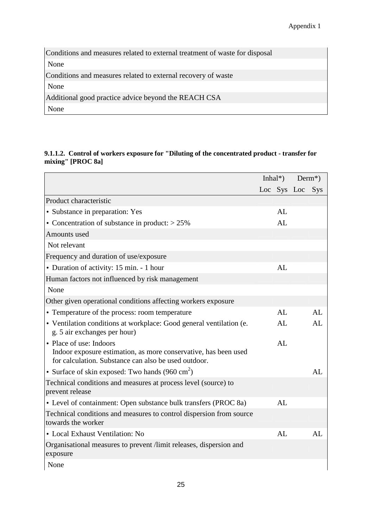| Conditions and measures related to external treatment of waste for disposal |  |
|-----------------------------------------------------------------------------|--|
| None                                                                        |  |
| Conditions and measures related to external recovery of waste               |  |
| None                                                                        |  |
| Additional good practice advice beyond the REACH CSA                        |  |
| None                                                                        |  |

#### **9.1.1.2. Control of workers exposure for "Diluting of the concentrated product - transfer for mixing" [PROC 8a]**

|                                                                                                                                                    | Inhal <sup>*</sup> ) |                 | $Derm^*$ |
|----------------------------------------------------------------------------------------------------------------------------------------------------|----------------------|-----------------|----------|
|                                                                                                                                                    |                      | Loc Sys Loc Sys |          |
| Product characteristic                                                                                                                             |                      |                 |          |
| • Substance in preparation: Yes                                                                                                                    | AL                   |                 |          |
| • Concentration of substance in product: $> 25\%$                                                                                                  | AL                   |                 |          |
| Amounts used                                                                                                                                       |                      |                 |          |
| Not relevant                                                                                                                                       |                      |                 |          |
| Frequency and duration of use/exposure                                                                                                             |                      |                 |          |
| • Duration of activity: 15 min. - 1 hour                                                                                                           | AL                   |                 |          |
| Human factors not influenced by risk management                                                                                                    |                      |                 |          |
| None                                                                                                                                               |                      |                 |          |
| Other given operational conditions affecting workers exposure                                                                                      |                      |                 |          |
| • Temperature of the process: room temperature                                                                                                     | AL                   |                 | AL       |
| • Ventilation conditions at workplace: Good general ventilation (e.<br>g. 5 air exchanges per hour)                                                | AL                   |                 | AL       |
| • Place of use: Indoors<br>Indoor exposure estimation, as more conservative, has been used<br>for calculation. Substance can also be used outdoor. | AL                   |                 |          |
| • Surface of skin exposed: Two hands $(960 \text{ cm}^2)$                                                                                          |                      |                 | AL       |
| Technical conditions and measures at process level (source) to<br>prevent release                                                                  |                      |                 |          |
| • Level of containment: Open substance bulk transfers (PROC 8a)                                                                                    | AL                   |                 |          |
| Technical conditions and measures to control dispersion from source<br>towards the worker                                                          |                      |                 |          |
| • Local Exhaust Ventilation: No                                                                                                                    | AL                   |                 | AL       |
| Organisational measures to prevent /limit releases, dispersion and<br>exposure                                                                     |                      |                 |          |
| None                                                                                                                                               |                      |                 |          |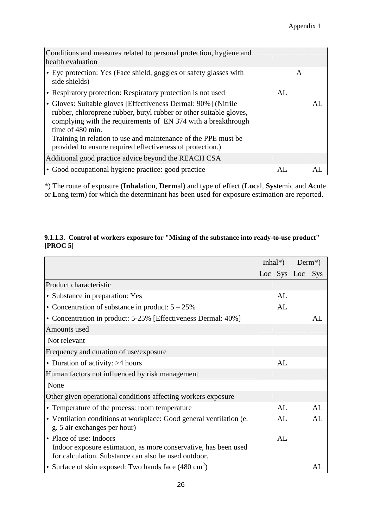| Conditions and measures related to personal protection, hygiene and<br>health evaluation                                                                                                                                                                                                                                                                 |     |   |     |
|----------------------------------------------------------------------------------------------------------------------------------------------------------------------------------------------------------------------------------------------------------------------------------------------------------------------------------------------------------|-----|---|-----|
| $\cdot$ Eye protection: Yes (Face shield, goggles or safety glasses with<br>side shields)                                                                                                                                                                                                                                                                |     | A |     |
| • Respiratory protection: Respiratory protection is not used                                                                                                                                                                                                                                                                                             | AI. |   |     |
| • Gloves: Suitable gloves [Effectiveness Dermal: 90%] (Nitrile<br>rubber, chloroprene rubber, butyl rubber or other suitable gloves,<br>complying with the requirements of EN 374 with a breakthrough<br>time of 480 min.<br>Training in relation to use and maintenance of the PPE must be<br>provided to ensure required effectiveness of protection.) |     |   | AL. |
| Additional good practice advice beyond the REACH CSA                                                                                                                                                                                                                                                                                                     |     |   |     |
| • Good occupational hygiene practice: good practice                                                                                                                                                                                                                                                                                                      | AL. |   |     |

#### **9.1.1.3. Control of workers exposure for "Mixing of the substance into ready-to-use product" [PROC 5]**

|                                                                                                                                                    | Inhal <sup>*</sup> ) |    |                 | $Derm^*$ ) |
|----------------------------------------------------------------------------------------------------------------------------------------------------|----------------------|----|-----------------|------------|
|                                                                                                                                                    |                      |    | Loc Sys Loc Sys |            |
| Product characteristic                                                                                                                             |                      |    |                 |            |
| • Substance in preparation: Yes                                                                                                                    |                      | AL |                 |            |
| • Concentration of substance in product: $5 - 25\%$                                                                                                |                      | AL |                 |            |
| • Concentration in product: 5-25% [Effectiveness Dermal: 40%]                                                                                      |                      |    |                 | AI.        |
| Amounts used                                                                                                                                       |                      |    |                 |            |
| Not relevant                                                                                                                                       |                      |    |                 |            |
| Frequency and duration of use/exposure                                                                                                             |                      |    |                 |            |
| • Duration of activity: $>4$ hours                                                                                                                 |                      | AL |                 |            |
| Human factors not influenced by risk management                                                                                                    |                      |    |                 |            |
| None                                                                                                                                               |                      |    |                 |            |
| Other given operational conditions affecting workers exposure                                                                                      |                      |    |                 |            |
| • Temperature of the process: room temperature                                                                                                     |                      | AL |                 | AL         |
| • Ventilation conditions at workplace: Good general ventilation (e.<br>g. 5 air exchanges per hour)                                                |                      | AL |                 | AL         |
| • Place of use: Indoors<br>Indoor exposure estimation, as more conservative, has been used<br>for calculation. Substance can also be used outdoor. |                      | AL |                 |            |
| • Surface of skin exposed: Two hands face $(480 \text{ cm}^2)$                                                                                     |                      |    |                 | AL.        |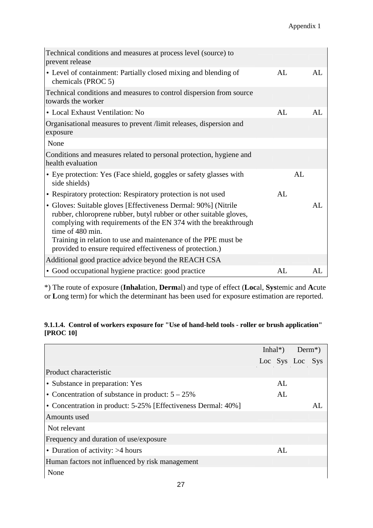| Technical conditions and measures at process level (source) to<br>prevent release                                                                                                                                                                                                                                                                          |    |    |    |
|------------------------------------------------------------------------------------------------------------------------------------------------------------------------------------------------------------------------------------------------------------------------------------------------------------------------------------------------------------|----|----|----|
| • Level of containment: Partially closed mixing and blending of<br>chemicals (PROC 5)                                                                                                                                                                                                                                                                      | AL |    | AL |
| Technical conditions and measures to control dispersion from source<br>towards the worker                                                                                                                                                                                                                                                                  |    |    |    |
| • Local Exhaust Ventilation: No                                                                                                                                                                                                                                                                                                                            | AL |    | AL |
| Organisational measures to prevent /limit releases, dispersion and<br>exposure                                                                                                                                                                                                                                                                             |    |    |    |
| None                                                                                                                                                                                                                                                                                                                                                       |    |    |    |
| Conditions and measures related to personal protection, hygiene and<br>health evaluation                                                                                                                                                                                                                                                                   |    |    |    |
| • Eye protection: Yes (Face shield, goggles or safety glasses with<br>side shields)                                                                                                                                                                                                                                                                        |    | AL |    |
| • Respiratory protection: Respiratory protection is not used                                                                                                                                                                                                                                                                                               | AL |    |    |
| • Gloves: Suitable gloves [Effectiveness Dermal: 90%] (Nitrile<br>rubber, chloroprene rubber, butyl rubber or other suitable gloves,<br>complying with requirements of the EN 374 with the breakthrough<br>time of 480 min.<br>Training in relation to use and maintenance of the PPE must be<br>provided to ensure required effectiveness of protection.) |    |    | AL |
|                                                                                                                                                                                                                                                                                                                                                            |    |    |    |
| Additional good practice advice beyond the REACH CSA                                                                                                                                                                                                                                                                                                       |    |    |    |
| • Good occupational hygiene practice: good practice                                                                                                                                                                                                                                                                                                        | AL |    | AL |

#### **9.1.1.4. Control of workers exposure for "Use of hand-held tools - roller or brush application" [PROC 10]**

|                                                               | Inhal <sup>*</sup> ) |     |                 | $Derm^*$ |
|---------------------------------------------------------------|----------------------|-----|-----------------|----------|
|                                                               |                      |     | Loc Sys Loc Sys |          |
| Product characteristic                                        |                      |     |                 |          |
| • Substance in preparation: Yes                               |                      | AL  |                 |          |
| • Concentration of substance in product: $5 - 25\%$           |                      | AI. |                 |          |
| • Concentration in product: 5-25% [Effectiveness Dermal: 40%] |                      |     |                 | AI       |
| Amounts used                                                  |                      |     |                 |          |
| Not relevant                                                  |                      |     |                 |          |
| Frequency and duration of use/exposure                        |                      |     |                 |          |
| • Duration of activity: $>4$ hours                            |                      | AL  |                 |          |
| Human factors not influenced by risk management               |                      |     |                 |          |
| None                                                          |                      |     |                 |          |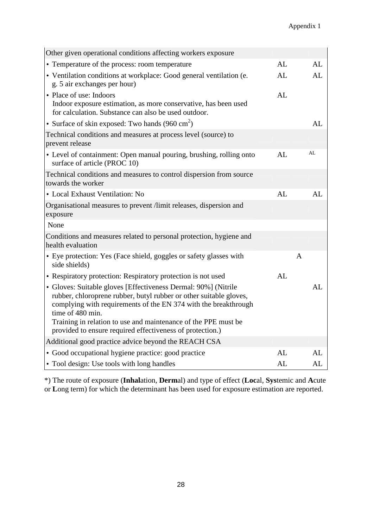| Other given operational conditions affecting workers exposure                                                                                                                                                                                                                                                                                              |    |              |
|------------------------------------------------------------------------------------------------------------------------------------------------------------------------------------------------------------------------------------------------------------------------------------------------------------------------------------------------------------|----|--------------|
| • Temperature of the process: room temperature                                                                                                                                                                                                                                                                                                             | AL | AL           |
| • Ventilation conditions at workplace: Good general ventilation (e.<br>g. 5 air exchanges per hour)                                                                                                                                                                                                                                                        | AL | AL           |
| • Place of use: Indoors<br>Indoor exposure estimation, as more conservative, has been used<br>for calculation. Substance can also be used outdoor.                                                                                                                                                                                                         | AL |              |
| • Surface of skin exposed: Two hands (960 cm <sup>2</sup> )                                                                                                                                                                                                                                                                                                |    | AL           |
| Technical conditions and measures at process level (source) to<br>prevent release                                                                                                                                                                                                                                                                          |    |              |
| • Level of containment: Open manual pouring, brushing, rolling onto<br>surface of article (PROC 10)                                                                                                                                                                                                                                                        | AL | AL           |
| Technical conditions and measures to control dispersion from source<br>towards the worker                                                                                                                                                                                                                                                                  |    |              |
| • Local Exhaust Ventilation: No                                                                                                                                                                                                                                                                                                                            | AL | AL           |
| Organisational measures to prevent /limit releases, dispersion and<br>exposure                                                                                                                                                                                                                                                                             |    |              |
| None                                                                                                                                                                                                                                                                                                                                                       |    |              |
| Conditions and measures related to personal protection, hygiene and<br>health evaluation                                                                                                                                                                                                                                                                   |    |              |
| • Eye protection: Yes (Face shield, goggles or safety glasses with<br>side shields)                                                                                                                                                                                                                                                                        |    | $\mathbf{A}$ |
| • Respiratory protection: Respiratory protection is not used                                                                                                                                                                                                                                                                                               | AL |              |
| • Gloves: Suitable gloves [Effectiveness Dermal: 90%] (Nitrile<br>rubber, chloroprene rubber, butyl rubber or other suitable gloves,<br>complying with requirements of the EN 374 with the breakthrough<br>time of 480 min.<br>Training in relation to use and maintenance of the PPE must be<br>provided to ensure required effectiveness of protection.) |    | AL           |
| Additional good practice advice beyond the REACH CSA                                                                                                                                                                                                                                                                                                       |    |              |
| • Good occupational hygiene practice: good practice                                                                                                                                                                                                                                                                                                        | AL | AL           |
| • Tool design: Use tools with long handles                                                                                                                                                                                                                                                                                                                 | AL | AL           |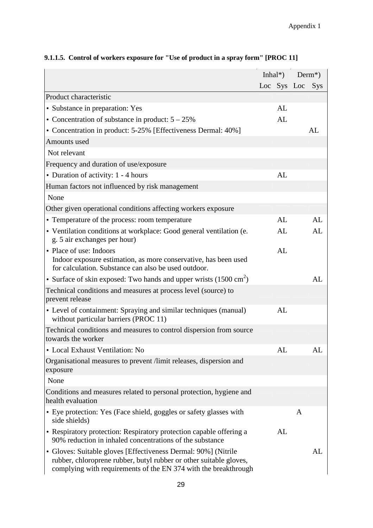|                                                                                                                                                                                                         | Inhal <sup>*</sup> ) |                 | $Derm^*)$ |
|---------------------------------------------------------------------------------------------------------------------------------------------------------------------------------------------------------|----------------------|-----------------|-----------|
|                                                                                                                                                                                                         |                      | Loc Sys Loc Sys |           |
| Product characteristic                                                                                                                                                                                  |                      |                 |           |
| • Substance in preparation: Yes                                                                                                                                                                         | AL                   |                 |           |
| • Concentration of substance in product: $5 - 25\%$                                                                                                                                                     | AL                   |                 |           |
| • Concentration in product: 5-25% [Effectiveness Dermal: 40%]                                                                                                                                           |                      |                 | AL        |
| Amounts used                                                                                                                                                                                            |                      |                 |           |
| Not relevant                                                                                                                                                                                            |                      |                 |           |
| Frequency and duration of use/exposure                                                                                                                                                                  |                      |                 |           |
| • Duration of activity: 1 - 4 hours                                                                                                                                                                     | AL                   |                 |           |
| Human factors not influenced by risk management                                                                                                                                                         |                      |                 |           |
| None                                                                                                                                                                                                    |                      |                 |           |
| Other given operational conditions affecting workers exposure                                                                                                                                           |                      |                 |           |
| • Temperature of the process: room temperature                                                                                                                                                          | AL                   |                 | AL        |
| • Ventilation conditions at workplace: Good general ventilation (e.<br>g. 5 air exchanges per hour)                                                                                                     | AL                   |                 | AL        |
| • Place of use: Indoors<br>Indoor exposure estimation, as more conservative, has been used<br>for calculation. Substance can also be used outdoor.                                                      | AL                   |                 |           |
| • Surface of skin exposed: Two hands and upper wrists $(1500 \text{ cm}^2)$                                                                                                                             |                      |                 | AL        |
| Technical conditions and measures at process level (source) to<br>prevent release                                                                                                                       |                      |                 |           |
| • Level of containment: Spraying and similar techniques (manual)<br>without particular barriers (PROC 11)                                                                                               | AL                   |                 |           |
| Technical conditions and measures to control dispersion from source<br>towards the worker                                                                                                               |                      |                 |           |
| • Local Exhaust Ventilation: No                                                                                                                                                                         | AL                   |                 | AL.       |
| Organisational measures to prevent /limit releases, dispersion and<br>exposure                                                                                                                          |                      |                 |           |
| None                                                                                                                                                                                                    |                      |                 |           |
| Conditions and measures related to personal protection, hygiene and<br>health evaluation                                                                                                                |                      |                 |           |
| • Eye protection: Yes (Face shield, goggles or safety glasses with<br>side shields)                                                                                                                     |                      | A               |           |
| • Respiratory protection: Respiratory protection capable offering a<br>90% reduction in inhaled concentrations of the substance                                                                         | AL                   |                 |           |
| • Gloves: Suitable gloves [Effectiveness Dermal: 90%] (Nitrile<br>rubber, chloroprene rubber, butyl rubber or other suitable gloves,<br>complying with requirements of the EN 374 with the breakthrough |                      |                 | AL        |

## **9.1.1.5. Control of workers exposure for "Use of product in a spray form" [PROC 11]**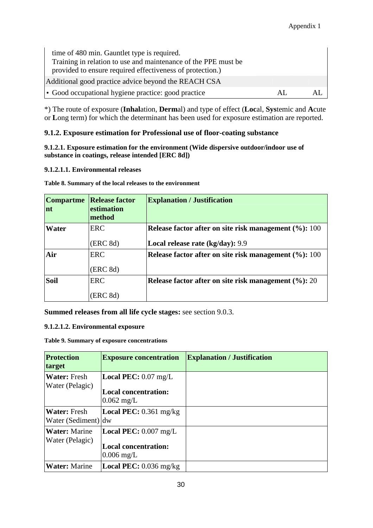| time of 480 min. Gauntlet type is required.<br>Training in relation to use and maintenance of the PPE must be<br>provided to ensure required effectiveness of protection.) |     |  |
|----------------------------------------------------------------------------------------------------------------------------------------------------------------------------|-----|--|
| Additional good practice advice beyond the REACH CSA                                                                                                                       |     |  |
| • Good occupational hygiene practice: good practice                                                                                                                        | AL. |  |

#### **9.1.2. Exposure estimation for Professional use of floor-coating substance**

**9.1.2.1. Exposure estimation for the environment (Wide dispersive outdoor/indoor use of substance in coatings, release intended [ERC 8d])** 

#### **9.1.2.1.1. Environmental releases**

**Table 8. Summary of the local releases to the environment** 

| <b>Compartme</b><br>nt | <b>Release factor</b><br>estimation<br>method | <b>Explanation / Justification</b>                       |
|------------------------|-----------------------------------------------|----------------------------------------------------------|
| Water                  | <b>ERC</b>                                    | Release factor after on site risk management $(\%): 100$ |
|                        | (ERC 8d)                                      | Local release rate (kg/day): 9.9                         |
| Air                    | <b>ERC</b>                                    | Release factor after on site risk management (%): 100    |
|                        | (ERC 8d)                                      |                                                          |
| <b>Soil</b>            | <b>ERC</b>                                    | Release factor after on site risk management $(\%): 20$  |
|                        | (ERC 8d)                                      |                                                          |

**Summed releases from all life cycle stages:** see section 9.0.3.

#### **9.1.2.1.2. Environmental exposure**

**Table 9. Summary of exposure concentrations** 

| Protection<br>target                       | <b>Exposure concentration</b>                                                        | <b>Explanation / Justification</b> |
|--------------------------------------------|--------------------------------------------------------------------------------------|------------------------------------|
| <b>Water:</b> Fresh<br>Water (Pelagic)     | <b>Local PEC:</b> $0.07 \text{ mg/L}$<br><b>Local concentration:</b><br>$0.062$ mg/L |                                    |
| <b>Water:</b> Fresh<br>Water (Sediment) dw | <b>Local PEC:</b> $0.361$ mg/kg                                                      |                                    |
| <b>Water:</b> Marine<br>Water (Pelagic)    | Local PEC: 0.007 mg/L<br><b>Local concentration:</b><br>$0.006$ mg/L                 |                                    |
| <b>Water:</b> Marine                       | <b>Local PEC:</b> $0.036$ mg/kg                                                      |                                    |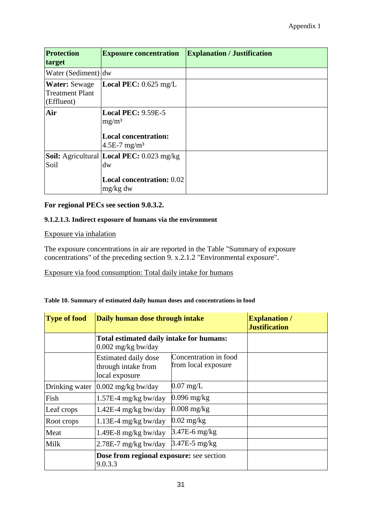| <b>Protection</b><br>target                                  | <b>Exposure concentration</b>                                                                             | <b>Explanation / Justification</b> |
|--------------------------------------------------------------|-----------------------------------------------------------------------------------------------------------|------------------------------------|
| Water (Sediment) dw                                          |                                                                                                           |                                    |
| <b>Water:</b> Sewage<br><b>Treatment Plant</b><br>(Effluent) | <b>Local PEC:</b> $0.625$ mg/L                                                                            |                                    |
| Air                                                          | <b>Local PEC: 9.59E-5</b><br>mg/m <sup>3</sup><br><b>Local concentration:</b><br>4.5E-7 mg/m <sup>3</sup> |                                    |
| Soil                                                         | <b>Soil:</b> Agricultural Local PEC: 0.023 mg/kg<br>dw<br><b>Local concentration: 0.02</b><br>$mg/kg$ dw  |                                    |

#### **For regional PECs see section 9.0.3.2.**

#### **9.1.2.1.3. Indirect exposure of humans via the environment**

#### Exposure via inhalation

The exposure concentrations in air are reported in the Table "Summary of exposure concentrations" of the preceding section 9. x.2.1.2 "Environmental exposure".

Exposure via food consumption: Total daily intake for humans

#### **Table 10. Summary of estimated daily human doses and concentrations in food**

| <b>Type of food</b> | Daily human dose through intake                                  |                                              | <b>Explanation</b> /<br><b>Justification</b> |
|---------------------|------------------------------------------------------------------|----------------------------------------------|----------------------------------------------|
|                     | Total estimated daily intake for humans:<br>$0.002$ mg/kg bw/day |                                              |                                              |
|                     | Estimated daily dose<br>through intake from<br>local exposure    | Concentration in food<br>from local exposure |                                              |
| Drinking water      | $0.002$ mg/kg bw/day                                             | $0.07 \text{ mg/L}$                          |                                              |
| Fish                | $1.57E-4$ mg/kg bw/day                                           | $0.096$ mg/kg                                |                                              |
| Leaf crops          | $1.42E-4$ mg/kg bw/day                                           | $0.008$ mg/kg                                |                                              |
| Root crops          | $1.13E-4$ mg/kg bw/day                                           | $0.02$ mg/kg                                 |                                              |
| Meat                | 1.49E-8 mg/kg bw/day                                             | $3.47E-6$ mg/kg                              |                                              |
| Milk                | $2.78E-7$ mg/kg bw/day                                           | $3.47E-5$ mg/kg                              |                                              |
|                     | Dose from regional exposure: see section<br>9.0.3.3              |                                              |                                              |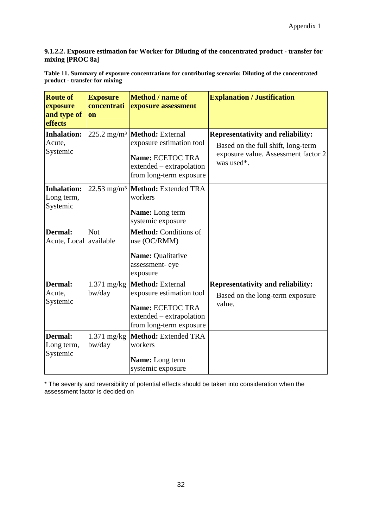#### **9.1.2.2. Exposure estimation for Worker for Diluting of the concentrated product - transfer for mixing [PROC 8a]**

**Table 11. Summary of exposure concentrations for contributing scenario: Diluting of the concentrated product - transfer for mixing** 

| <b>Route of</b><br>exposure<br>and type of<br>effects | <b>Exposure</b><br>concentrati<br>on | Method / name of<br>exposure assessment                                                                                                           | <b>Explanation / Justification</b>                                                                                                  |
|-------------------------------------------------------|--------------------------------------|---------------------------------------------------------------------------------------------------------------------------------------------------|-------------------------------------------------------------------------------------------------------------------------------------|
| <b>Inhalation:</b><br>Acute,<br>Systemic              |                                      | 225.2 mg/m <sup>3</sup>   Method: External<br>exposure estimation tool<br>Name: ECETOC TRA<br>extended – extrapolation<br>from long-term exposure | <b>Representativity and reliability:</b><br>Based on the full shift, long-term<br>exposure value. Assessment factor 2<br>was used*. |
| <b>Inhalation:</b><br>Long term,<br>Systemic          |                                      | 22.53 mg/m <sup>3</sup> Method: Extended TRA<br>workers<br><b>Name:</b> Long term<br>systemic exposure                                            |                                                                                                                                     |
| <b>Dermal:</b><br>Acute, Local available              | <b>Not</b>                           | Method: Conditions of<br>use (OC/RMM)<br>Name: Qualitative<br>assessment-eye<br>exposure                                                          |                                                                                                                                     |
| <b>Dermal:</b><br>Acute,<br>Systemic                  | $1.371$ mg/kg<br>bw/day              | <b>Method: External</b><br>exposure estimation tool<br>Name: ECETOC TRA<br>extended – extrapolation<br>from long-term exposure                    | <b>Representativity and reliability:</b><br>Based on the long-term exposure<br>value.                                               |
| <b>Dermal:</b><br>Long term,<br>Systemic              | $1.371$ mg/kg<br>bw/day              | Method: Extended TRA<br>workers<br>Name: Long term<br>systemic exposure                                                                           |                                                                                                                                     |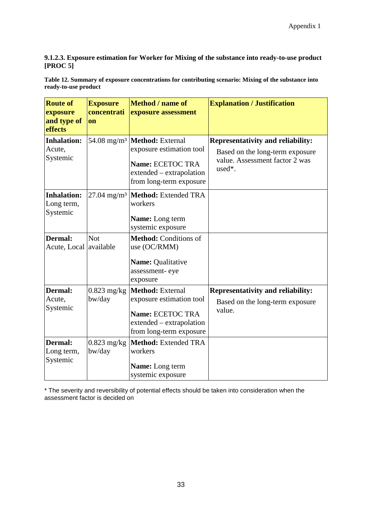#### **9.1.2.3. Exposure estimation for Worker for Mixing of the substance into ready-to-use product [PROC 5]**

**Table 12. Summary of exposure concentrations for contributing scenario: Mixing of the substance into ready-to-use product** 

| <b>Route of</b><br>exposure<br>and type of<br>effects | <b>Exposure</b><br>concentrati<br>on | Method / name of<br>exposure assessment                                                                                 | <b>Explanation / Justification</b>                                                                                      |
|-------------------------------------------------------|--------------------------------------|-------------------------------------------------------------------------------------------------------------------------|-------------------------------------------------------------------------------------------------------------------------|
| <b>Inhalation:</b><br>Acute,<br>Systemic              | 54.08 mg/m <sup>3</sup>              | Method: External<br>exposure estimation tool<br>Name: ECETOC TRA<br>extended - extrapolation<br>from long-term exposure | <b>Representativity and reliability:</b><br>Based on the long-term exposure<br>value. Assessment factor 2 was<br>used*. |
| <b>Inhalation:</b><br>Long term,<br>Systemic          | $27.04$ mg/m <sup>3</sup>            | Method: Extended TRA<br>workers<br>Name: Long term<br>systemic exposure                                                 |                                                                                                                         |
| <b>Dermal:</b><br>Acute, Local available              | <b>Not</b>                           | Method: Conditions of<br>use (OC/RMM)<br>Name: Qualitative<br>assessment-eye<br>exposure                                |                                                                                                                         |
| <b>Dermal:</b><br>Acute,<br>Systemic                  | $0.823$ mg/kg<br>bw/day              | Method: External<br>exposure estimation tool<br>Name: ECETOC TRA<br>extended – extrapolation<br>from long-term exposure | <b>Representativity and reliability:</b><br>Based on the long-term exposure<br>value.                                   |
| Dermal:<br>Long term,<br>Systemic                     | $0.823$ mg/kg<br>bw/day              | <b>Method: Extended TRA</b><br>workers<br>Name: Long term<br>systemic exposure                                          |                                                                                                                         |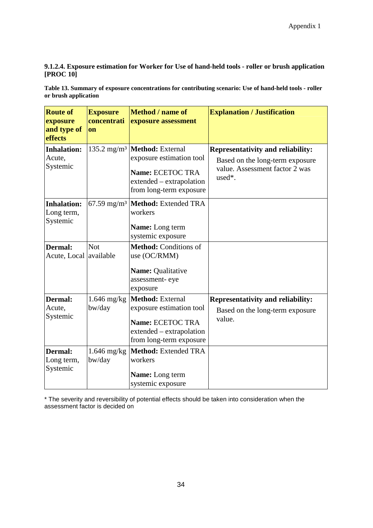#### **9.1.2.4. Exposure estimation for Worker for Use of hand-held tools - roller or brush application [PROC 10]**

**Table 13. Summary of exposure concentrations for contributing scenario: Use of hand-held tools - roller or brush application** 

| <b>Route of</b><br>exposure<br>and type of<br>effects | <b>Exposure</b><br>concentrati<br>on | Method / name of<br>exposure assessment                                                                                                                   | <b>Explanation / Justification</b>                                                                                      |
|-------------------------------------------------------|--------------------------------------|-----------------------------------------------------------------------------------------------------------------------------------------------------------|-------------------------------------------------------------------------------------------------------------------------|
| <b>Inhalation:</b><br>Acute,<br>Systemic              |                                      | 135.2 mg/m <sup>3</sup>   <b>Method</b> : External<br>exposure estimation tool<br>Name: ECETOC TRA<br>extended – extrapolation<br>from long-term exposure | <b>Representativity and reliability:</b><br>Based on the long-term exposure<br>value. Assessment factor 2 was<br>used*. |
| <b>Inhalation:</b><br>Long term,<br>Systemic          |                                      | 67.59 mg/m <sup>3</sup>   Method: Extended TRA<br>workers<br>Name: Long term<br>systemic exposure                                                         |                                                                                                                         |
| <b>Dermal:</b><br>Acute, Local available              | <b>Not</b>                           | Method: Conditions of<br>use (OC/RMM)<br>Name: Qualitative<br>assessment-eye<br>exposure                                                                  |                                                                                                                         |
| <b>Dermal:</b><br>Acute,<br>Systemic                  | $1.646$ mg/kg<br>bw/day              | <b>Method:</b> External<br>exposure estimation tool<br>Name: ECETOC TRA<br>extended – extrapolation<br>from long-term exposure                            | <b>Representativity and reliability:</b><br>Based on the long-term exposure<br>value.                                   |
| <b>Dermal:</b><br>Long term,<br>Systemic              | $1.646$ mg/kg<br>bw/day              | <b>Method: Extended TRA</b><br>workers<br><b>Name:</b> Long term<br>systemic exposure                                                                     |                                                                                                                         |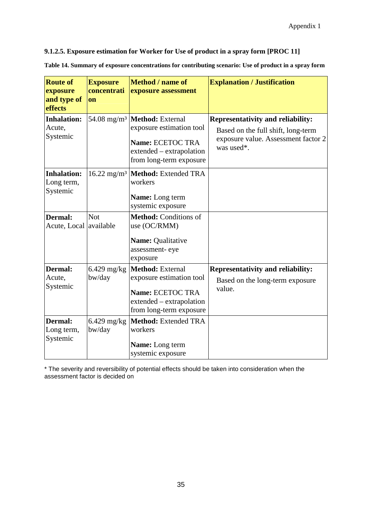#### **9.1.2.5. Exposure estimation for Worker for Use of product in a spray form [PROC 11]**

**Table 14. Summary of exposure concentrations for contributing scenario: Use of product in a spray form**

| <b>Route of</b><br>exposure<br>and type of<br>effects | <b>Exposure</b><br>concentrati<br>on | <b>Method</b> / name of<br>exposure assessment                                                                                                            | <b>Explanation / Justification</b>                                                                                                  |
|-------------------------------------------------------|--------------------------------------|-----------------------------------------------------------------------------------------------------------------------------------------------------------|-------------------------------------------------------------------------------------------------------------------------------------|
| <b>Inhalation:</b><br>Acute,<br>Systemic              |                                      | 54.08 mg/m <sup>3</sup>   <b>Method</b> : External<br>exposure estimation tool<br>Name: ECETOC TRA<br>extended – extrapolation<br>from long-term exposure | <b>Representativity and reliability:</b><br>Based on the full shift, long-term<br>exposure value. Assessment factor 2<br>was used*. |
| <b>Inhalation:</b><br>Long term,<br>Systemic          | $16.22 \text{ mg/m}^3$               | Method: Extended TRA<br>workers<br>Name: Long term<br>systemic exposure                                                                                   |                                                                                                                                     |
| <b>Dermal:</b><br>Acute, Local available              | <b>Not</b>                           | Method: Conditions of<br>use (OC/RMM)<br>Name: Qualitative<br>assessment-eye<br>exposure                                                                  |                                                                                                                                     |
| Dermal:<br>Acute,<br>Systemic                         | $6.429$ mg/kg<br>bw/day              | Method: External<br>exposure estimation tool<br>Name: ECETOC TRA<br>extended – extrapolation<br>from long-term exposure                                   | <b>Representativity and reliability:</b><br>Based on the long-term exposure<br>value.                                               |
| <b>Dermal:</b><br>Long term,<br>Systemic              | $6.429$ mg/kg<br>bw/day              | Method: Extended TRA<br>workers<br><b>Name:</b> Long term<br>systemic exposure                                                                            |                                                                                                                                     |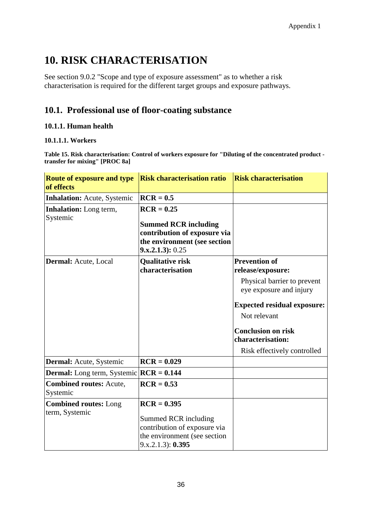# **10. RISK CHARACTERISATION**

See section 9.0.2 "Scope and type of exposure assessment" as to whether a risk characterisation is required for the different target groups and exposure pathways.

# **10.1. Professional use of floor-coating substance**

#### **10.1.1. Human health**

#### **10.1.1.1. Workers**

**Table 15. Risk characterisation: Control of workers exposure for "Diluting of the concentrated product transfer for mixing" [PROC 8a]** 

| <b>Route of exposure and type</b><br>of effects   | <b>Risk characterisation ratio</b>                                                                        | <b>Risk characterisation</b>                           |
|---------------------------------------------------|-----------------------------------------------------------------------------------------------------------|--------------------------------------------------------|
| <b>Inhalation:</b> Acute, Systemic                | $RCR = 0.5$                                                                                               |                                                        |
| <b>Inhalation:</b> Long term,<br>Systemic         | $RCR = 0.25$                                                                                              |                                                        |
|                                                   | <b>Summed RCR including</b><br>contribution of exposure via                                               |                                                        |
|                                                   | the environment (see section<br>$9. x. 2.1.3$ : 0.25                                                      |                                                        |
| Dermal: Acute, Local                              | <b>Qualitative risk</b>                                                                                   | <b>Prevention of</b>                                   |
|                                                   | characterisation                                                                                          | release/exposure:                                      |
|                                                   |                                                                                                           | Physical barrier to prevent<br>eye exposure and injury |
|                                                   |                                                                                                           | <b>Expected residual exposure:</b>                     |
|                                                   |                                                                                                           | Not relevant                                           |
|                                                   |                                                                                                           | <b>Conclusion on risk</b>                              |
|                                                   |                                                                                                           | characterisation:                                      |
|                                                   |                                                                                                           | Risk effectively controlled                            |
| <b>Dermal:</b> Acute, Systemic                    | $RCR = 0.029$                                                                                             |                                                        |
| <b>Dermal:</b> Long term, Systemic $ RCR = 0.144$ |                                                                                                           |                                                        |
| <b>Combined routes: Acute,</b><br>Systemic        | $RCR = 0.53$                                                                                              |                                                        |
| <b>Combined routes:</b> Long                      | $RCR = 0.395$                                                                                             |                                                        |
| term, Systemic                                    | Summed RCR including<br>contribution of exposure via<br>the environment (see section<br>9.x.2.1.3): 0.395 |                                                        |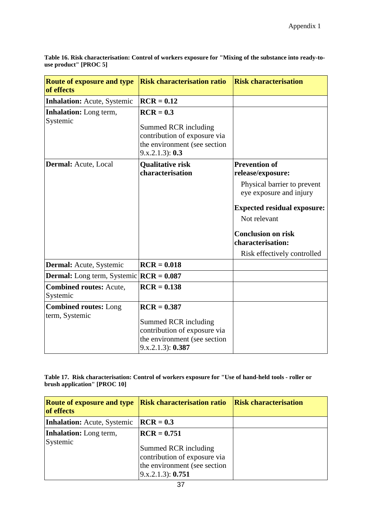| <b>Route of exposure and type</b><br>of effects  | <b>Risk characterisation ratio</b>                                                                                         | <b>Risk characterisation</b>                                                                                                                                                                                                               |
|--------------------------------------------------|----------------------------------------------------------------------------------------------------------------------------|--------------------------------------------------------------------------------------------------------------------------------------------------------------------------------------------------------------------------------------------|
| <b>Inhalation:</b> Acute, Systemic               | $RCR = 0.12$                                                                                                               |                                                                                                                                                                                                                                            |
| <b>Inhalation:</b> Long term,<br>Systemic        | $RCR = 0.3$<br>Summed RCR including<br>contribution of exposure via<br>the environment (see section<br>9.x.2.1.3): 0.3     |                                                                                                                                                                                                                                            |
| Dermal: Acute, Local                             | <b>Qualitative risk</b><br>characterisation                                                                                | <b>Prevention of</b><br>release/exposure:<br>Physical barrier to prevent<br>eye exposure and injury<br><b>Expected residual exposure:</b><br>Not relevant<br><b>Conclusion on risk</b><br>characterisation:<br>Risk effectively controlled |
| Dermal: Acute, Systemic                          | $RCR = 0.018$                                                                                                              |                                                                                                                                                                                                                                            |
| <b>Dermal:</b> Long term, Systemic $RCR = 0.087$ |                                                                                                                            |                                                                                                                                                                                                                                            |
| <b>Combined routes: Acute,</b><br>Systemic       | $RCR = 0.138$                                                                                                              |                                                                                                                                                                                                                                            |
| <b>Combined routes: Long</b><br>term, Systemic   | $RCR = 0.387$<br>Summed RCR including<br>contribution of exposure via<br>the environment (see section<br>9.x.2.1.3): 0.387 |                                                                                                                                                                                                                                            |

**Table 16. Risk characterisation: Control of workers exposure for "Mixing of the substance into ready-touse product" [PROC 5]** 

**Table 17. Risk characterisation: Control of workers exposure for "Use of hand-held tools - roller or brush application" [PROC 10]** 

| <b>Route of exposure and type</b><br>of effects | <b>Risk characterisation ratio</b>                                                                                                         | <b>Risk characterisation</b> |
|-------------------------------------------------|--------------------------------------------------------------------------------------------------------------------------------------------|------------------------------|
| <b>Inhalation:</b> Acute, Systemic              | $RCR = 0.3$                                                                                                                                |                              |
| <b>Inhalation:</b> Long term,<br>Systemic       | $\angle$ <b>RCR</b> = 0.751<br>Summed RCR including<br>contribution of exposure via<br>the environment (see section)<br>(9.x.2.1.3): 0.751 |                              |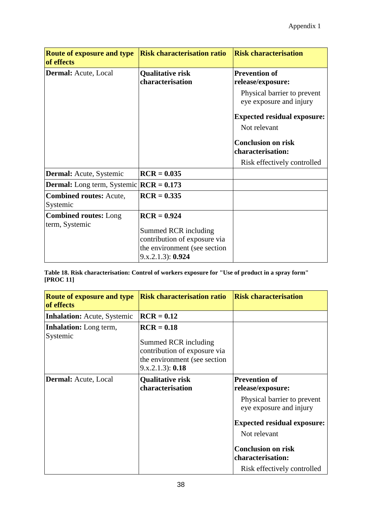| <b>Route of exposure and type</b><br>of effects  | <b>Risk characterisation ratio</b>                                                                                         | <b>Risk characterisation</b>                                                                                                                                                                                                               |
|--------------------------------------------------|----------------------------------------------------------------------------------------------------------------------------|--------------------------------------------------------------------------------------------------------------------------------------------------------------------------------------------------------------------------------------------|
| <b>Dermal:</b> Acute, Local                      | <b>Qualitative risk</b><br>characterisation                                                                                | <b>Prevention of</b><br>release/exposure:<br>Physical barrier to prevent<br>eye exposure and injury<br><b>Expected residual exposure:</b><br>Not relevant<br><b>Conclusion on risk</b><br>characterisation:<br>Risk effectively controlled |
| <b>Dermal:</b> Acute, Systemic                   | $RCR = 0.035$                                                                                                              |                                                                                                                                                                                                                                            |
| <b>Dermal:</b> Long term, Systemic $RCR = 0.173$ |                                                                                                                            |                                                                                                                                                                                                                                            |
| <b>Combined routes: Acute,</b><br>Systemic       | $\angle$ <b>RCR</b> = 0.335                                                                                                |                                                                                                                                                                                                                                            |
| <b>Combined routes:</b> Long<br>term, Systemic   | $RCR = 0.924$<br>Summed RCR including<br>contribution of exposure via<br>the environment (see section<br>9.x.2.1.3): 0.924 |                                                                                                                                                                                                                                            |

**Table 18. Risk characterisation: Control of workers exposure for "Use of product in a spray form" [PROC 11]** 

| <b>Route of exposure and type</b><br>of effects | <b>Risk characterisation ratio</b>                                                                                       | <b>Risk characterisation</b>                                                                                                                                                                                                               |  |
|-------------------------------------------------|--------------------------------------------------------------------------------------------------------------------------|--------------------------------------------------------------------------------------------------------------------------------------------------------------------------------------------------------------------------------------------|--|
| <b>Inhalation:</b> Acute, Systemic              | $RCR = 0.12$                                                                                                             |                                                                                                                                                                                                                                            |  |
| <b>Inhalation:</b> Long term,<br>Systemic       | $RCR = 0.18$<br>Summed RCR including<br>contribution of exposure via<br>the environment (see section<br>9.x.2.1.3): 0.18 |                                                                                                                                                                                                                                            |  |
| Dermal: Acute, Local                            | <b>Qualitative risk</b><br>characterisation                                                                              | <b>Prevention of</b><br>release/exposure:<br>Physical barrier to prevent<br>eye exposure and injury<br><b>Expected residual exposure:</b><br>Not relevant<br><b>Conclusion on risk</b><br>characterisation:<br>Risk effectively controlled |  |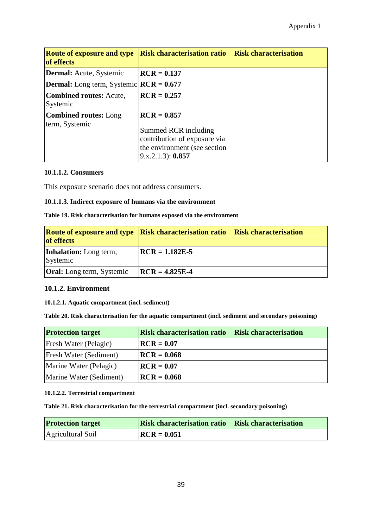| <b>Route of exposure and type</b><br>of effects  | <b>Risk characterisation ratio</b>                                                                                         | <b>Risk characterisation</b> |
|--------------------------------------------------|----------------------------------------------------------------------------------------------------------------------------|------------------------------|
| <b>Dermal:</b> Acute, Systemic                   | $RCR = 0.137$                                                                                                              |                              |
| <b>Dermal:</b> Long term, Systemic $RCR = 0.677$ |                                                                                                                            |                              |
| <b>Combined routes:</b> Acute,<br>Systemic       | $RCR = 0.257$                                                                                                              |                              |
| <b>Combined routes:</b> Long<br>term, Systemic   | $RCR = 0.857$<br>Summed RCR including<br>contribution of exposure via<br>the environment (see section<br>9.x.2.1.3): 0.857 |                              |

#### **10.1.1.2. Consumers**

This exposure scenario does not address consumers.

#### **10.1.1.3. Indirect exposure of humans via the environment**

#### **Table 19. Risk characterisation for humans exposed via the environment**

| <b>Route of exposure and type Risk characterisation ratio Risk characterisation</b><br><b>of</b> effects |                  |  |
|----------------------------------------------------------------------------------------------------------|------------------|--|
| <b>Inhalation:</b> Long term,<br>Systemic                                                                | $RCR = 1.182E-5$ |  |
| <b>Oral:</b> Long term, Systemic                                                                         | $RCR = 4.825E-4$ |  |

#### **10.1.2. Environment**

#### **10.1.2.1. Aquatic compartment (incl. sediment)**

**Table 20. Risk characterisation for the aquatic compartment (incl. sediment and secondary poisoning)** 

| <b>Protection target</b> | <b>Risk characterisation ratio</b> | <b>Risk characterisation</b> |
|--------------------------|------------------------------------|------------------------------|
| Fresh Water (Pelagic)    | $RCR = 0.07$                       |                              |
| Fresh Water (Sediment)   | $\vert \text{RCR} = 0.068$         |                              |
| Marine Water (Pelagic)   | $RCR = 0.07$                       |                              |
| Marine Water (Sediment)  | $\vert \text{RCR} = 0.068$         |                              |

#### **10.1.2.2. Terrestrial compartment**

**Table 21. Risk characterisation for the terrestrial compartment (incl. secondary poisoning)** 

| <b>Protection target</b> | <b>Risk characterisation ratio Risk characterisation</b> |  |
|--------------------------|----------------------------------------------------------|--|
| Agricultural Soil        | $RCR = 0.051$                                            |  |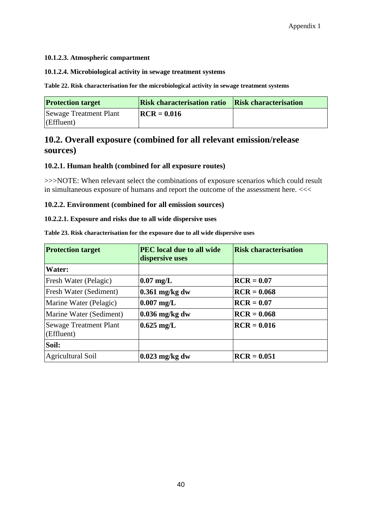#### **10.1.2.3. Atmospheric compartment**

#### **10.1.2.4. Microbiological activity in sewage treatment systems**

**Table 22. Risk characterisation for the microbiological activity in sewage treatment systems** 

| <b>Protection target</b>                      | <b>Risk characterisation ratio Risk characterisation</b> |  |
|-----------------------------------------------|----------------------------------------------------------|--|
| <b>Sewage Treatment Plant</b><br>$Eff$ luent) | $RCR = 0.016$                                            |  |

## **10.2. Overall exposure (combined for all relevant emission/release sources)**

#### **10.2.1. Human health (combined for all exposure routes)**

>>>NOTE: When relevant select the combinations of exposure scenarios which could result in simultaneous exposure of humans and report the outcome of the assessment here. <<<

#### **10.2.2. Environment (combined for all emission sources)**

#### **10.2.2.1. Exposure and risks due to all wide dispersive uses**

**Table 23. Risk characterisation for the exposure due to all wide dispersive uses** 

| <b>Protection target</b>                    | <b>PEC</b> local due to all wide<br>dispersive uses | <b>Risk characterisation</b> |
|---------------------------------------------|-----------------------------------------------------|------------------------------|
| <b>Water:</b>                               |                                                     |                              |
| Fresh Water (Pelagic)                       | $\left 0.07 \right  \mathrm{mg/L}$                  | $RCR = 0.07$                 |
| Fresh Water (Sediment)                      | $\left 0.361\right  \text{mg/kg}$ dw                | $\textbf{RCR} = 0.068$       |
| Marine Water (Pelagic)                      | $\vert 0.007 \rangle$ mg/L                          | $RCR = 0.07$                 |
| Marine Water (Sediment)                     | $\left 0.036\right\rangle$ mg/kg dw                 | $RCR = 0.068$                |
| <b>Sewage Treatment Plant</b><br>(Effluent) | $0.625$ mg/L                                        | $RCR = 0.016$                |
| Soil:                                       |                                                     |                              |
| <b>Agricultural Soil</b>                    | $0.023$ mg/kg dw                                    | $RCR = 0.051$                |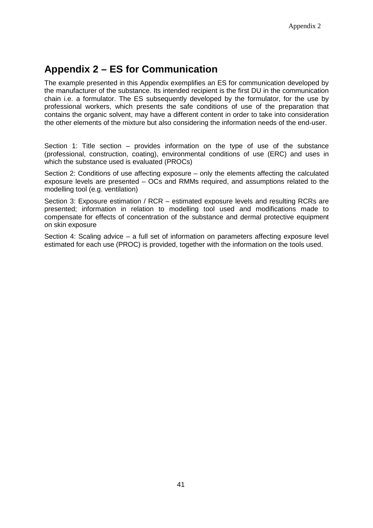# **Appendix 2 – ES for Communication**

The example presented in this Appendix exemplifies an ES for communication developed by the manufacturer of the substance. Its intended recipient is the first DU in the communication chain i.e. a formulator. The ES subsequently developed by the formulator, for the use by professional workers, which presents the safe conditions of use of the preparation that contains the organic solvent, may have a different content in order to take into consideration the other elements of the mixture but also considering the information needs of the end-user.

Section 1: Title section – provides information on the type of use of the substance (professional, construction, coating), environmental conditions of use (ERC) and uses in which the substance used is evaluated (PROCs)

Section 2: Conditions of use affecting exposure – only the elements affecting the calculated exposure levels are presented – OCs and RMMs required, and assumptions related to the modelling tool (e.g. ventilation)

Section 3: Exposure estimation / RCR – estimated exposure levels and resulting RCRs are presented; information in relation to modelling tool used and modifications made to compensate for effects of concentration of the substance and dermal protective equipment on skin exposure

Section 4: Scaling advice – a full set of information on parameters affecting exposure level estimated for each use (PROC) is provided, together with the information on the tools used.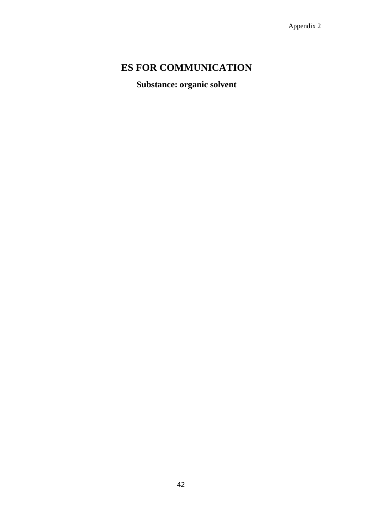# **ES FOR COMMUNICATION**

**Substance: organic solvent**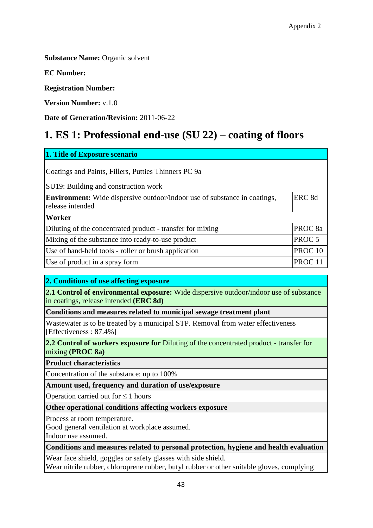**Substance Name: Organic solvent** 

**EC Number:**

**Registration Number:**

**Version Number:** v.1.0

**Date of Generation/Revision:** 2011-06-22

# **1. ES 1: Professional end-use (SU 22) – coating of floors**

| 1. Title of Exposure scenario                                                                        |                    |
|------------------------------------------------------------------------------------------------------|--------------------|
| Coatings and Paints, Fillers, Putties Thinners PC 9a                                                 |                    |
| SU19: Building and construction work                                                                 |                    |
| <b>Environment:</b> Wide dispersive outdoor/indoor use of substance in coatings,<br>release intended | ERC <sub>8d</sub>  |
| <b>Worker</b>                                                                                        |                    |
| Diluting of the concentrated product - transfer for mixing                                           | PROC <sub>8a</sub> |
| Mixing of the substance into ready-to-use product                                                    | PROC <sub>5</sub>  |
| Use of hand-held tools - roller or brush application                                                 | PROC <sub>10</sub> |
| Use of product in a spray form                                                                       | PROC <sub>11</sub> |

#### **2. Conditions of use affecting exposure**

**2.1 Control of environmental exposure:** Wide dispersive outdoor/indoor use of substance in coatings, release intended **(ERC 8d)**

**Conditions and measures related to municipal sewage treatment plant**

Wastewater is to be treated by a municipal STP. Removal from water effectiveness [Effectiveness : 87.4%]

**2.2 Control of workers exposure for** Diluting of the concentrated product - transfer for mixing **(PROC 8a)**

**Product characteristics**

Concentration of the substance: up to 100%

**Amount used, frequency and duration of use/exposure**

Operation carried out for ≤ 1 hours

**Other operational conditions affecting workers exposure**

Process at room temperature.

Good general ventilation at workplace assumed. Indoor use assumed.

**Conditions and measures related to personal protection, hygiene and health evaluation**

Wear face shield, goggles or safety glasses with side shield. Wear nitrile rubber, chloroprene rubber, butyl rubber or other suitable gloves, complying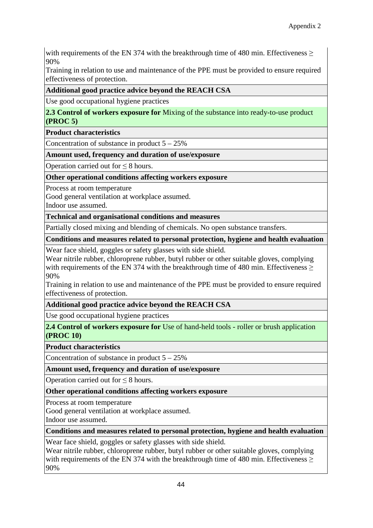with requirements of the EN 374 with the breakthrough time of 480 min. Effectiveness  $>$ 90%

Training in relation to use and maintenance of the PPE must be provided to ensure required effectiveness of protection.

#### **Additional good practice advice beyond the REACH CSA**

Use good occupational hygiene practices

**2.3 Control of workers exposure for** Mixing of the substance into ready-to-use product **(PROC 5)**

**Product characteristics**

Concentration of substance in product  $5 - 25\%$ 

#### **Amount used, frequency and duration of use/exposure**

Operation carried out for ≤ 8 hours.

#### **Other operational conditions affecting workers exposure**

Process at room temperature

Good general ventilation at workplace assumed.

Indoor use assumed.

#### **Technical and organisational conditions and measures**

Partially closed mixing and blending of chemicals. No open substance transfers.

**Conditions and measures related to personal protection, hygiene and health evaluation**

Wear face shield, goggles or safety glasses with side shield.

Wear nitrile rubber, chloroprene rubber, butyl rubber or other suitable gloves, complying with requirements of the EN 374 with the breakthrough time of 480 min. Effectiveness  $\geq$ 90%

Training in relation to use and maintenance of the PPE must be provided to ensure required effectiveness of protection.

#### **Additional good practice advice beyond the REACH CSA**

Use good occupational hygiene practices

**2.4 Control of workers exposure for** Use of hand-held tools - roller or brush application **(PROC 10)**

#### **Product characteristics**

Concentration of substance in product  $5 - 25\%$ 

**Amount used, frequency and duration of use/exposure**

Operation carried out for  $\leq 8$  hours.

**Other operational conditions affecting workers exposure**

Process at room temperature

Good general ventilation at workplace assumed.

Indoor use assumed.

#### **Conditions and measures related to personal protection, hygiene and health evaluation**

Wear face shield, goggles or safety glasses with side shield.

Wear nitrile rubber, chloroprene rubber, butyl rubber or other suitable gloves, complying with requirements of the EN 374 with the breakthrough time of 480 min. Effectiveness > 90%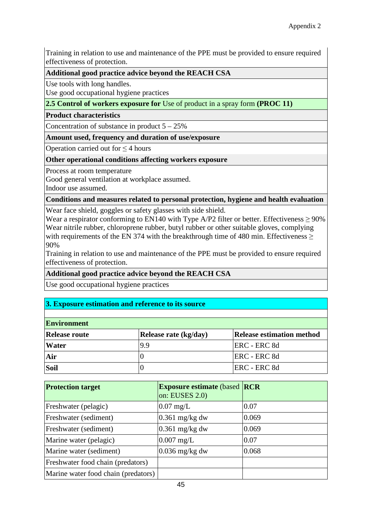Training in relation to use and maintenance of the PPE must be provided to ensure required effectiveness of protection.

#### **Additional good practice advice beyond the REACH CSA**

Use tools with long handles.

Use good occupational hygiene practices

### **2.5 Control of workers exposure for** Use of product in a spray form **(PROC 11)**

#### **Product characteristics**

Concentration of substance in product  $5 - 25\%$ 

#### **Amount used, frequency and duration of use/exposure**

Operation carried out for ≤ 4 hours

#### **Other operational conditions affecting workers exposure**

Process at room temperature

Good general ventilation at workplace assumed.

Indoor use assumed.

#### **Conditions and measures related to personal protection, hygiene and health evaluation**

Wear face shield, goggles or safety glasses with side shield.

Wear a respirator conforming to EN140 with Type A/P2 filter or better. Effectiveness  $\geq 90\%$ Wear nitrile rubber, chloroprene rubber, butyl rubber or other suitable gloves, complying with requirements of the EN 374 with the breakthrough time of 480 min. Effectiveness  $\geq$ 90%

Training in relation to use and maintenance of the PPE must be provided to ensure required effectiveness of protection.

#### **Additional good practice advice beyond the REACH CSA**

Use good occupational hygiene practices

### **3. Exposure estimation and reference to its source**

| <b>Environment</b>   |                       |                                  |  |
|----------------------|-----------------------|----------------------------------|--|
| <b>Release route</b> | Release rate (kg/day) | <b>Release estimation method</b> |  |
| <b>Water</b>         | 19.9                  | ERC - ERC 8d                     |  |
| Air                  |                       | ERC - ERC 8d                     |  |
| Soil                 |                       | ERC - ERC 8d                     |  |

| <b>Protection target</b>            | <b>Exposure estimate (based RCR)</b><br>on: EUSES $2.0$ ) |       |
|-------------------------------------|-----------------------------------------------------------|-------|
| Freshwater (pelagic)                | $0.07$ mg/L                                               | 0.07  |
| Freshwater (sediment)               | $0.361$ mg/kg dw                                          | 0.069 |
| Freshwater (sediment)               | $0.361$ mg/kg dw                                          | 0.069 |
| Marine water (pelagic)              | $0.007$ mg/L                                              | 0.07  |
| Marine water (sediment)             | $0.036$ mg/kg dw                                          | 0.068 |
| Freshwater food chain (predators)   |                                                           |       |
| Marine water food chain (predators) |                                                           |       |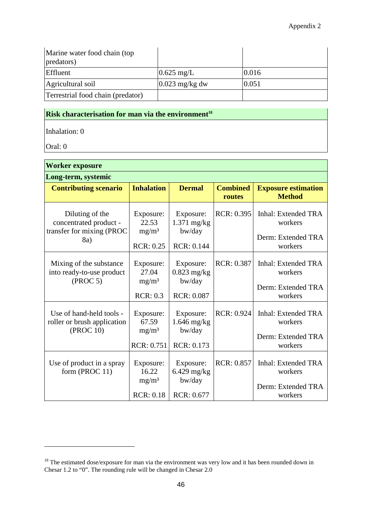| Marine water food chain (top)<br>predators) |                  |       |
|---------------------------------------------|------------------|-------|
| Effluent                                    | $0.625$ mg/L     | 0.016 |
| Agricultural soil                           | $0.023$ mg/kg dw | 0.051 |
| Terrestrial food chain (predator)           |                  |       |

## **Risk characterisation for man via the environment<sup>18</sup>**

Inhalation: 0

Oral: 0

 $\overline{a}$ 

| <b>Worker exposure</b>                                                 |                                         |                                      |                           |                                             |
|------------------------------------------------------------------------|-----------------------------------------|--------------------------------------|---------------------------|---------------------------------------------|
| Long-term, systemic                                                    |                                         |                                      |                           |                                             |
| <b>Contributing scenario</b>                                           | <b>Inhalation</b>                       | <b>Dermal</b>                        | <b>Combined</b><br>routes | <b>Exposure estimation</b><br><b>Method</b> |
| Diluting of the<br>concentrated product -<br>transfer for mixing (PROC | Exposure:<br>22.53<br>mg/m <sup>3</sup> | Exposure:<br>$1.371$ mg/kg<br>bw/day | RCR: 0.395                | Inhal: Extended TRA<br>workers              |
| 8a)                                                                    | <b>RCR: 0.25</b>                        | RCR: 0.144                           |                           | Derm: Extended TRA<br>workers               |
| Mixing of the substance<br>into ready-to-use product                   | Exposure:<br>27.04                      | Exposure:<br>$0.823$ mg/kg           | <b>RCR: 0.387</b>         | Inhal: Extended TRA<br>workers              |
| (PROC 5)                                                               | mg/m <sup>3</sup><br>RCR: 0.3           | bw/day<br><b>RCR: 0.087</b>          |                           | Derm: Extended TRA<br>workers               |
| Use of hand-held tools -<br>roller or brush application<br>(PROC 10)   | Exposure:<br>67.59                      | Exposure:<br>$1.646$ mg/kg           | <b>RCR: 0.924</b>         | <b>Inhal: Extended TRA</b><br>workers       |
|                                                                        | $mg/m^3$<br>RCR: 0.751                  | bw/day<br>RCR: 0.173                 |                           | Derm: Extended TRA<br>workers               |
| Use of product in a spray<br>form (PROC 11)                            | Exposure:<br>16.22<br>mg/m <sup>3</sup> | Exposure:<br>6.429 mg/kg<br>bw/day   | <b>RCR: 0.857</b>         | <b>Inhal: Extended TRA</b><br>workers       |
|                                                                        | <b>RCR: 0.18</b>                        | <b>RCR: 0.677</b>                    |                           | Derm: Extended TRA<br>workers               |

 $18$  The estimated dose/exposure for man via the environment was very low and it has been rounded down in Chesar 1.2 to "0". The rounding rule will be changed in Chesar 2.0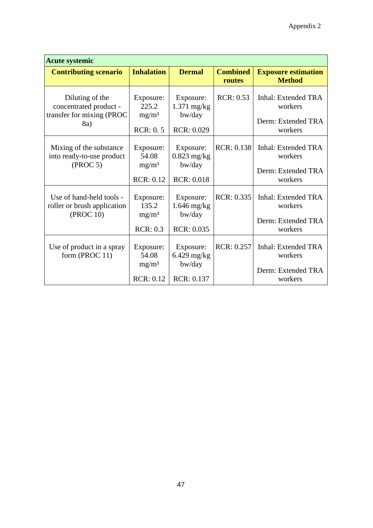| <b>Acute systemic</b>                                                         |                                                             |                                                           |                           |                                                                        |  |  |  |  |  |  |
|-------------------------------------------------------------------------------|-------------------------------------------------------------|-----------------------------------------------------------|---------------------------|------------------------------------------------------------------------|--|--|--|--|--|--|
| <b>Contributing scenario</b>                                                  | <b>Inhalation</b>                                           | <b>Dermal</b>                                             | <b>Combined</b><br>routes | <b>Exposure estimation</b><br><b>Method</b>                            |  |  |  |  |  |  |
| Diluting of the<br>concentrated product -<br>transfer for mixing (PROC<br>8a) | Exposure:<br>225.2<br>mg/m <sup>3</sup><br>RCR: 0.5         | Exposure:<br>$1.371$ mg/kg<br>bw/day<br><b>RCR: 0.029</b> | <b>RCR: 0.53</b>          | <b>Inhal: Extended TRA</b><br>workers<br>Derm: Extended TRA<br>workers |  |  |  |  |  |  |
| Mixing of the substance<br>into ready-to-use product<br>(PROC 5)              | Exposure:<br>54.08<br>mg/m <sup>3</sup><br><b>RCR: 0.12</b> | Exposure:<br>$0.823$ mg/kg<br>bw/day<br><b>RCR: 0.018</b> | <b>RCR: 0.138</b>         | Inhal: Extended TRA<br>workers<br>Derm: Extended TRA<br>workers        |  |  |  |  |  |  |
| Use of hand-held tools -<br>roller or brush application<br>(PROC 10)          | Exposure:<br>135.2<br>$mg/m^3$<br>RCR: 0.3                  | Exposure:<br>$1.646$ mg/kg<br>bw/day<br>RCR: 0.035        | RCR: 0.335                | Inhal: Extended TRA<br>workers<br>Derm: Extended TRA<br>workers        |  |  |  |  |  |  |
| Use of product in a spray<br>form (PROC 11)                                   | Exposure:<br>54.08<br>mg/m <sup>3</sup><br><b>RCR: 0.12</b> | Exposure:<br>$6.429$ mg/kg<br>bw/day<br>RCR: 0.137        | RCR: 0.257                | Inhal: Extended TRA<br>workers<br>Derm: Extended TRA<br>workers        |  |  |  |  |  |  |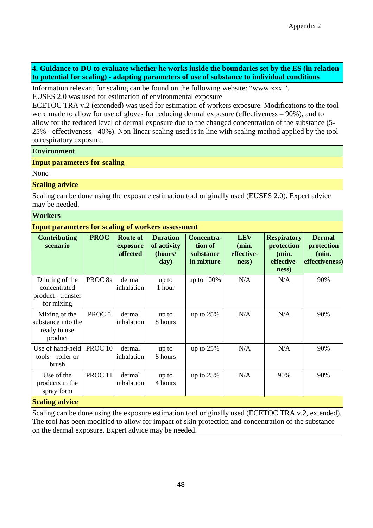#### **4. Guidance to DU to evaluate whether he works inside the boundaries set by the ES (in relation to potential for scaling) - adapting parameters of use of substance to individual conditions**

Information relevant for scaling can be found on the following website: "www.xxx ". EUSES 2.0 was used for estimation of environmental exposure

ECETOC TRA v.2 (extended) was used for estimation of workers exposure. Modifications to the tool were made to allow for use of gloves for reducing dermal exposure (effectiveness – 90%), and to allow for the reduced level of dermal exposure due to the changed concentration of the substance (5- 25% - effectiveness - 40%). Non-linear scaling used is in line with scaling method applied by the tool to respiratory exposure.

#### **Environment**

#### **Input parameters for scaling**

None

#### **Scaling advice**

Scaling can be done using the exposure estimation tool originally used (EUSES 2.0). Expert advice may be needed.

#### **Workers**

#### **Input parameters for scaling of workers assessment**

| <b>Contributing</b><br>scenario                                               | <b>PROC</b>        | <b>Route of</b><br>exposure<br>affected | <b>Duration</b><br>of activity<br>(hours/<br>day) | Concentra-<br>tion of<br>substance<br>in mixture | <b>LEV</b><br>(min.<br>effective-<br>ness) | <b>Respiratory</b><br>protection<br>(min.<br>effective-<br>ness) | <b>Dermal</b><br>protection<br>(min.<br>effectiveness) |
|-------------------------------------------------------------------------------|--------------------|-----------------------------------------|---------------------------------------------------|--------------------------------------------------|--------------------------------------------|------------------------------------------------------------------|--------------------------------------------------------|
| Diluting of the<br>concentrated<br>product - transfer<br>for mixing           | PROC <sub>8a</sub> | dermal<br>inhalation                    | up to<br>1 hour                                   | up to 100%                                       | N/A                                        | N/A                                                              | 90%                                                    |
| Mixing of the<br>substance into the<br>ready to use<br>product                | PROC <sub>5</sub>  | dermal<br>inhalation                    | up to<br>8 hours                                  | up to $25%$                                      | N/A                                        | N/A                                                              | 90%                                                    |
| Use of hand-held<br>$tools$ – roller or<br>brush                              | PROC <sub>10</sub> | dermal<br>inhalation                    | up to<br>8 hours                                  | up to $25%$                                      | N/A                                        | N/A                                                              | 90%                                                    |
| Use of the<br>products in the<br>spray form                                   | PROC <sub>11</sub> | dermal<br>inhalation                    | up to<br>4 hours                                  | up to $25%$                                      | N/A                                        | 90%                                                              | 90%                                                    |
| $\mathcal{R}_{\text{no}}$ $\mathcal{R}_{\text{no}}$ $\mathcal{R}_{\text{no}}$ |                    |                                         |                                                   |                                                  |                                            |                                                                  |                                                        |

#### **Scaling advice**

Scaling can be done using the exposure estimation tool originally used (ECETOC TRA v.2, extended). The tool has been modified to allow for impact of skin protection and concentration of the substance on the dermal exposure. Expert advice may be needed.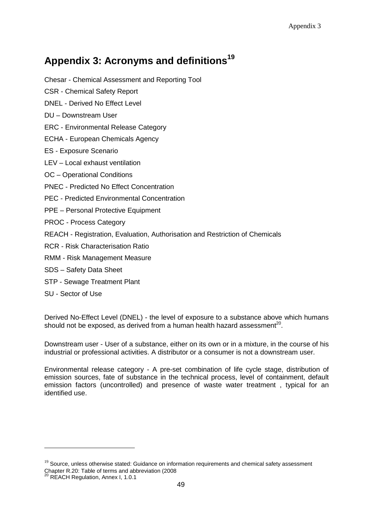# **Appendix 3: Acronyms and definitions<sup>19</sup>**

Chesar - Chemical Assessment and Reporting Tool

- CSR Chemical Safety Report
- DNEL Derived No Effect Level
- DU Downstream User
- ERC Environmental Release Category
- ECHA European Chemicals Agency
- ES Exposure Scenario
- LEV Local exhaust ventilation
- OC Operational Conditions
- PNEC Predicted No Effect Concentration
- PEC Predicted Environmental Concentration
- PPE Personal Protective Equipment
- PROC Process Category
- REACH Registration, Evaluation, Authorisation and Restriction of Chemicals
- RCR Risk Characterisation Ratio
- RMM Risk Management Measure
- SDS Safety Data Sheet
- STP Sewage Treatment Plant
- SU Sector of Use

Derived No-Effect Level (DNEL) - the level of exposure to a substance above which humans should not be exposed, as derived from a human health hazard assessment<sup>20</sup>.

Downstream user - User of a substance, either on its own or in a mixture, in the course of his industrial or professional activities. A distributor or a consumer is not a downstream user.

Environmental release category - A pre-set combination of life cycle stage, distribution of emission sources, fate of substance in the technical process, level of containment, default emission factors (uncontrolled) and presence of waste water treatment , typical for an identified use.

 $\overline{a}$ 

 $19$  Source, unless otherwise stated: Guidance on information requirements and chemical safety assessment Chapter R.20: Table of terms and abbreviation (2008

REACH Regulation, Annex I, 1.0.1